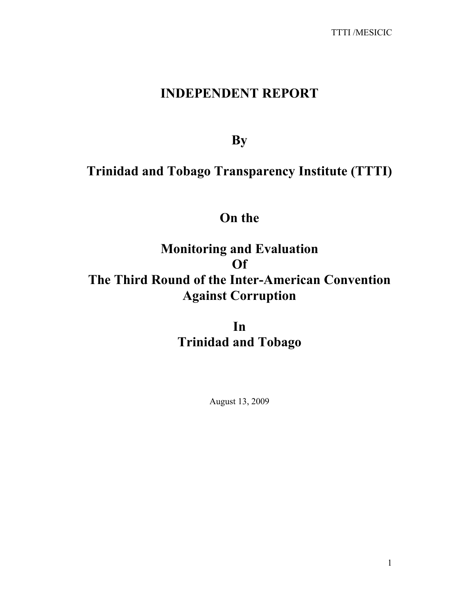# **INDEPENDENT REPORT**

**By** 

# **Trinidad and Tobago Transparency Institute (TTTI)**

# **On the**

# **Monitoring and Evaluation Of The Third Round of the Inter-American Convention Against Corruption**

**In Trinidad and Tobago** 

August 13, 2009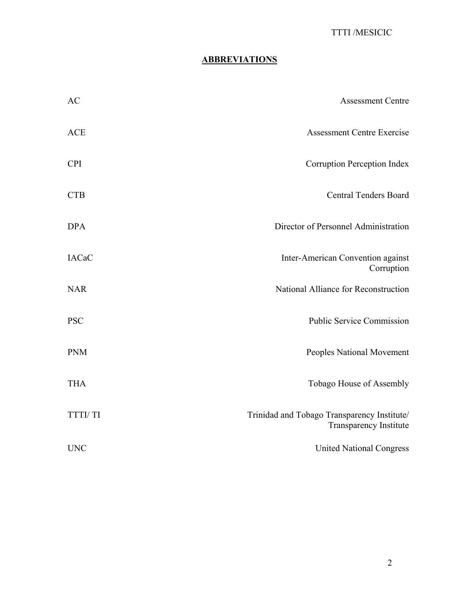# **ABBREVIATIONS**

| <b>AC</b>      | <b>Assessment Centre</b>                                              |
|----------------|-----------------------------------------------------------------------|
| <b>ACE</b>     | <b>Assessment Centre Exercise</b>                                     |
| <b>CPI</b>     | Corruption Perception Index                                           |
| <b>CTB</b>     | <b>Central Tenders Board</b>                                          |
| <b>DPA</b>     | Director of Personnel Administration                                  |
| <b>IACaC</b>   | Inter-American Convention against<br>Corruption                       |
| <b>NAR</b>     | National Alliance for Reconstruction                                  |
| <b>PSC</b>     | <b>Public Service Commission</b>                                      |
| <b>PNM</b>     | Peoples National Movement                                             |
| <b>THA</b>     | Tobago House of Assembly                                              |
| <b>TTTI/TI</b> | Trinidad and Tobago Transparency Institute/<br>Transparency Institute |
| <b>UNC</b>     | <b>United National Congress</b>                                       |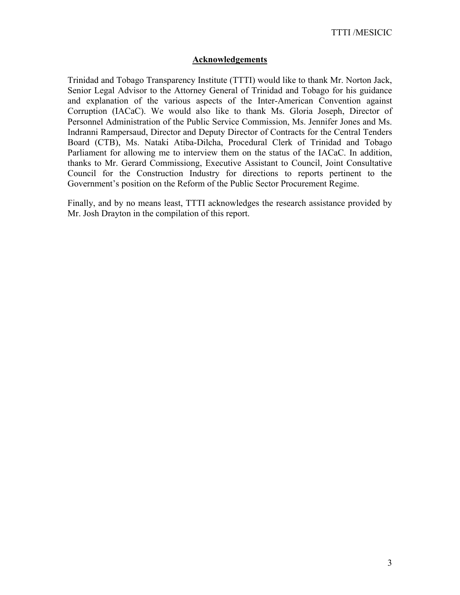## **Acknowledgements**

Trinidad and Tobago Transparency Institute (TTTI) would like to thank Mr. Norton Jack, Senior Legal Advisor to the Attorney General of Trinidad and Tobago for his guidance and explanation of the various aspects of the Inter-American Convention against Corruption (IACaC). We would also like to thank Ms. Gloria Joseph, Director of Personnel Administration of the Public Service Commission, Ms. Jennifer Jones and Ms. Indranni Rampersaud, Director and Deputy Director of Contracts for the Central Tenders Board (CTB), Ms. Nataki Atiba-Dilcha, Procedural Clerk of Trinidad and Tobago Parliament for allowing me to interview them on the status of the IACaC. In addition, thanks to Mr. Gerard Commissiong, Executive Assistant to Council, Joint Consultative Council for the Construction Industry for directions to reports pertinent to the Government's position on the Reform of the Public Sector Procurement Regime.

Finally, and by no means least, TTTI acknowledges the research assistance provided by Mr. Josh Drayton in the compilation of this report.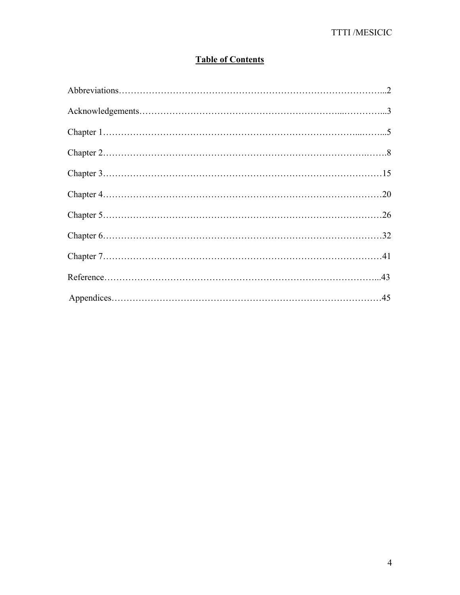# **Table of Contents**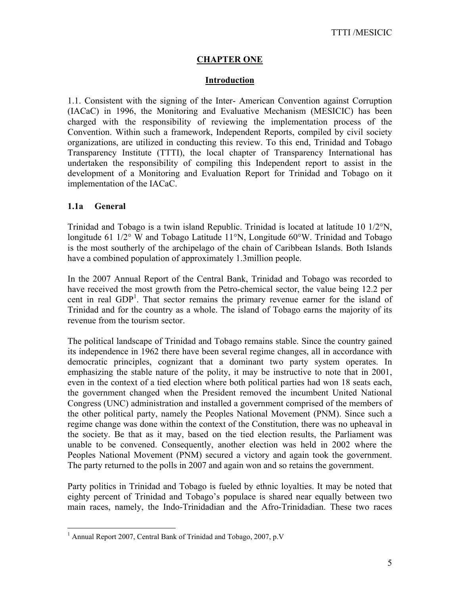## **CHAPTER ONE**

## **Introduction**

1.1. Consistent with the signing of the Inter- American Convention against Corruption (IACaC) in 1996, the Monitoring and Evaluative Mechanism (MESICIC) has been charged with the responsibility of reviewing the implementation process of the Convention. Within such a framework, Independent Reports, compiled by civil society organizations, are utilized in conducting this review. To this end, Trinidad and Tobago Transparency Institute (TTTI), the local chapter of Transparency International has undertaken the responsibility of compiling this Independent report to assist in the development of a Monitoring and Evaluation Report for Trinidad and Tobago on it implementation of the IACaC.

## **1.1a General**

Trinidad and Tobago is a twin island Republic. Trinidad is located at latitude 10 1/2°N, longitude 61  $1/2^{\circ}$  W and Tobago Latitude 11<sup>o</sup>N, Longitude 60<sup>o</sup>W. Trinidad and Tobago is the most southerly of the archipelago of the chain of Caribbean Islands. Both Islands have a combined population of approximately 1.3million people.

In the 2007 Annual Report of the Central Bank, Trinidad and Tobago was recorded to have received the most growth from the Petro-chemical sector, the value being 12.2 per cent in real GDP<sup>1</sup>. That sector remains the primary revenue earner for the island of Trinidad and for the country as a whole. The island of Tobago earns the majority of its revenue from the tourism sector.

The political landscape of Trinidad and Tobago remains stable. Since the country gained its independence in 1962 there have been several regime changes, all in accordance with democratic principles, cognizant that a dominant two party system operates. In emphasizing the stable nature of the polity, it may be instructive to note that in 2001, even in the context of a tied election where both political parties had won 18 seats each, the government changed when the President removed the incumbent United National Congress (UNC) administration and installed a government comprised of the members of the other political party, namely the Peoples National Movement (PNM). Since such a regime change was done within the context of the Constitution, there was no upheaval in the society. Be that as it may, based on the tied election results, the Parliament was unable to be convened. Consequently, another election was held in 2002 where the Peoples National Movement (PNM) secured a victory and again took the government. The party returned to the polls in 2007 and again won and so retains the government.

Party politics in Trinidad and Tobago is fueled by ethnic loyalties. It may be noted that eighty percent of Trinidad and Tobago's populace is shared near equally between two main races, namely, the Indo-Trinidadian and the Afro-Trinidadian. These two races

 1 Annual Report 2007, Central Bank of Trinidad and Tobago, 2007, p.V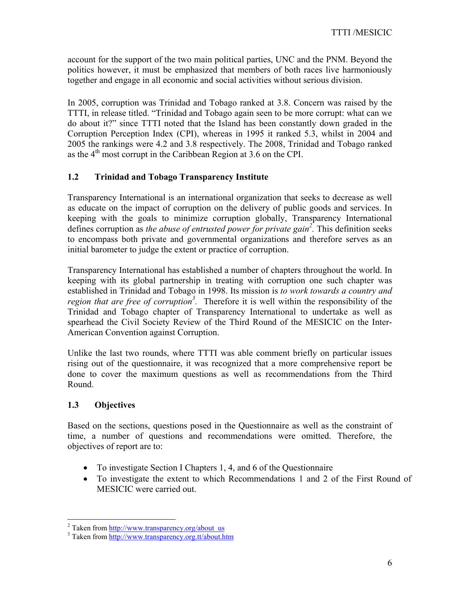account for the support of the two main political parties, UNC and the PNM. Beyond the politics however, it must be emphasized that members of both races live harmoniously together and engage in all economic and social activities without serious division.

In 2005, corruption was Trinidad and Tobago ranked at 3.8. Concern was raised by the TTTI, in release titled. "Trinidad and Tobago again seen to be more corrupt: what can we do about it?" since TTTI noted that the Island has been constantly down graded in the Corruption Perception Index (CPI), whereas in 1995 it ranked 5.3, whilst in 2004 and 2005 the rankings were 4.2 and 3.8 respectively. The 2008, Trinidad and Tobago ranked as the  $4<sup>th</sup>$  most corrupt in the Caribbean Region at 3.6 on the CPI.

# **1.2 Trinidad and Tobago Transparency Institute**

Transparency International is an international organization that seeks to decrease as well as educate on the impact of corruption on the delivery of public goods and services. In keeping with the goals to minimize corruption globally, Transparency International defines corruption as *the abuse of entrusted power for private gain2 .* This definition seeks to encompass both private and governmental organizations and therefore serves as an initial barometer to judge the extent or practice of corruption.

Transparency International has established a number of chapters throughout the world. In keeping with its global partnership in treating with corruption one such chapter was established in Trinidad and Tobago in 1998. Its mission is *to work towards a country and region that are free of corruption*<sup>3</sup>. Therefore it is well within the responsibility of the Trinidad and Tobago chapter of Transparency International to undertake as well as spearhead the Civil Society Review of the Third Round of the MESICIC on the Inter-American Convention against Corruption.

Unlike the last two rounds, where TTTI was able comment briefly on particular issues rising out of the questionnaire, it was recognized that a more comprehensive report be done to cover the maximum questions as well as recommendations from the Third Round.

# **1.3 Objectives**

Based on the sections, questions posed in the Questionnaire as well as the constraint of time, a number of questions and recommendations were omitted. Therefore, the objectives of report are to:

- To investigate Section I Chapters 1, 4, and 6 of the Questionnaire
- To investigate the extent to which Recommendations 1 and 2 of the First Round of MESICIC were carried out.

 $\frac{12}{100}$  Taken from http://www.transparency.org/about\_us  $\frac{3}{100}$  Token from http://www.transparency.org/about\_us

<sup>&</sup>lt;sup>3</sup> Taken from http://www.transparency.org.tt/about.htm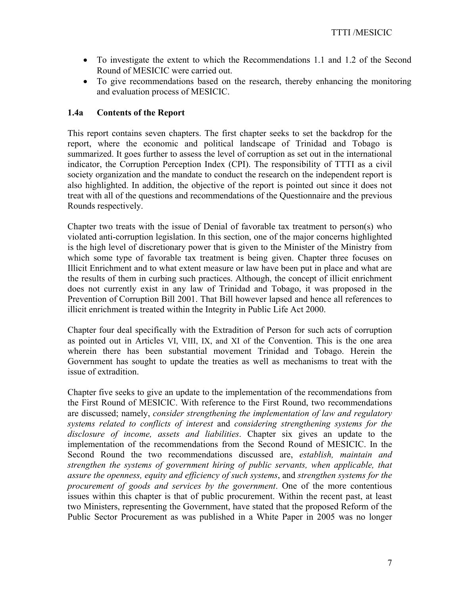- To investigate the extent to which the Recommendations 1.1 and 1.2 of the Second Round of MESICIC were carried out.
- To give recommendations based on the research, thereby enhancing the monitoring and evaluation process of MESICIC.

## **1.4a Contents of the Report**

This report contains seven chapters. The first chapter seeks to set the backdrop for the report, where the economic and political landscape of Trinidad and Tobago is summarized. It goes further to assess the level of corruption as set out in the international indicator, the Corruption Perception Index (CPI). The responsibility of TTTI as a civil society organization and the mandate to conduct the research on the independent report is also highlighted. In addition, the objective of the report is pointed out since it does not treat with all of the questions and recommendations of the Questionnaire and the previous Rounds respectively.

Chapter two treats with the issue of Denial of favorable tax treatment to person(s) who violated anti-corruption legislation. In this section, one of the major concerns highlighted is the high level of discretionary power that is given to the Minister of the Ministry from which some type of favorable tax treatment is being given. Chapter three focuses on Illicit Enrichment and to what extent measure or law have been put in place and what are the results of them in curbing such practices. Although, the concept of illicit enrichment does not currently exist in any law of Trinidad and Tobago, it was proposed in the Prevention of Corruption Bill 2001. That Bill however lapsed and hence all references to illicit enrichment is treated within the Integrity in Public Life Act 2000.

Chapter four deal specifically with the Extradition of Person for such acts of corruption as pointed out in Articles VI, VIII, IX, and XI of the Convention. This is the one area wherein there has been substantial movement Trinidad and Tobago. Herein the Government has sought to update the treaties as well as mechanisms to treat with the issue of extradition.

Chapter five seeks to give an update to the implementation of the recommendations from the First Round of MESICIC. With reference to the First Round, two recommendations are discussed; namely, *consider strengthening the implementation of law and regulatory systems related to conflicts of interest* and *considering strengthening systems for the disclosure of income, assets and liabilities*. Chapter six gives an update to the implementation of the recommendations from the Second Round of MESICIC. In the Second Round the two recommendations discussed are, *establish, maintain and strengthen the systems of government hiring of public servants, when applicable, that assure the openness, equity and efficiency of such systems*, and *strengthen systems for the procurement of goods and services by the government*. One of the more contentious issues within this chapter is that of public procurement. Within the recent past, at least two Ministers, representing the Government, have stated that the proposed Reform of the Public Sector Procurement as was published in a White Paper in 2005 was no longer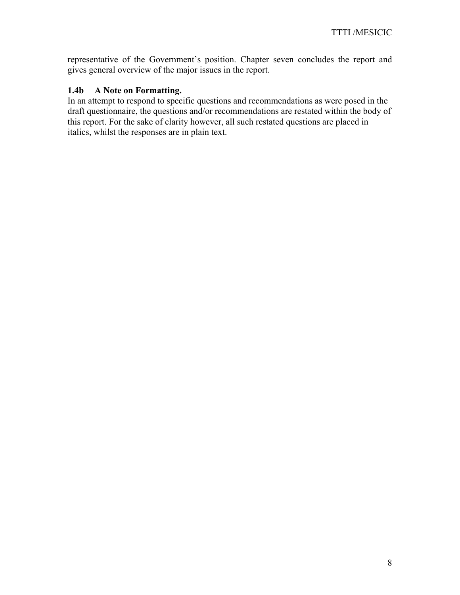representative of the Government's position. Chapter seven concludes the report and gives general overview of the major issues in the report.

## **1.4b A Note on Formatting.**

In an attempt to respond to specific questions and recommendations as were posed in the draft questionnaire, the questions and/or recommendations are restated within the body of this report. For the sake of clarity however, all such restated questions are placed in italics, whilst the responses are in plain text.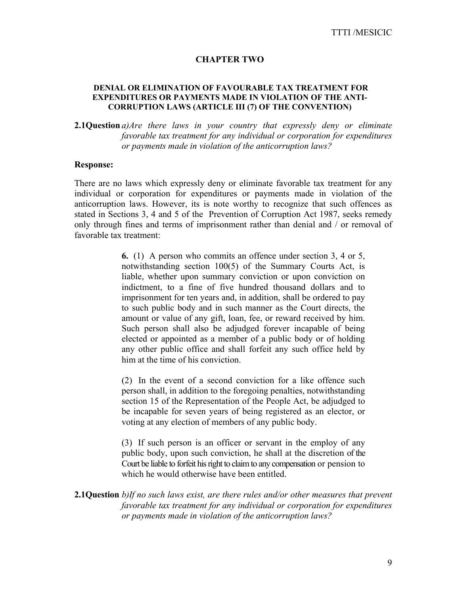#### **CHAPTER TWO**

#### **DENIAL OR ELIMINATION OF FAVOURABLE TAX TREATMENT FOR EXPENDITURES OR PAYMENTS MADE IN VIOLATION OF THE ANTI-CORRUPTION LAWS (ARTICLE III (7) OF THE CONVENTION)**

**2.1Question** *a)Are there laws in your country that expressly deny or eliminate favorable tax treatment for any individual or corporation for expenditures or payments made in violation of the anticorruption laws?* 

#### **Response:**

There are no laws which expressly deny or eliminate favorable tax treatment for any individual or corporation for expenditures or payments made in violation of the anticorruption laws. However, its is note worthy to recognize that such offences as stated in Sections 3, 4 and 5 of the Prevention of Corruption Act 1987, seeks remedy only through fines and terms of imprisonment rather than denial and / or removal of favorable tax treatment:

> **6.** (1) A person who commits an offence under section 3, 4 or 5, notwithstanding section 100(5) of the Summary Courts Act, is liable, whether upon summary conviction or upon conviction on indictment, to a fine of five hundred thousand dollars and to imprisonment for ten years and, in addition, shall be ordered to pay to such public body and in such manner as the Court directs, the amount or value of any gift, loan, fee, or reward received by him. Such person shall also be adjudged forever incapable of being elected or appointed as a member of a public body or of holding any other public office and shall forfeit any such office held by him at the time of his conviction.

> (2) In the event of a second conviction for a like offence such person shall, in addition to the foregoing penalties, notwithstanding section 15 of the Representation of the People Act, be adjudged to be incapable for seven years of being registered as an elector, or voting at any election of members of any public body.

> (3) If such person is an officer or servant in the employ of any public body, upon such conviction, he shall at the discretion of the Court be liable to forfeit his right to claim to any compensation or pension to which he would otherwise have been entitled.

**2.1Question** *b)If no such laws exist, are there rules and/or other measures that prevent favorable tax treatment for any individual or corporation for expenditures or payments made in violation of the anticorruption laws?*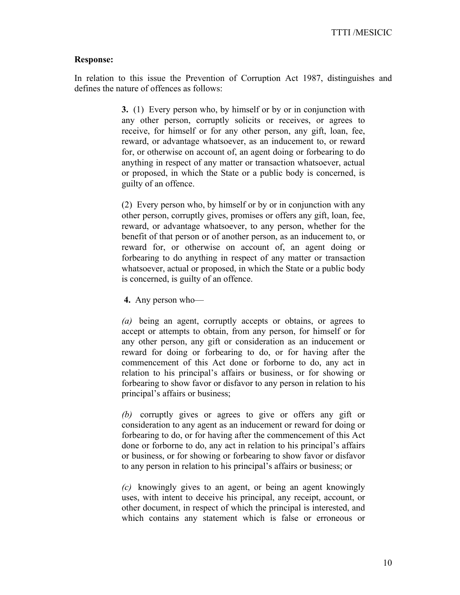#### **Response:**

In relation to this issue the Prevention of Corruption Act 1987, distinguishes and defines the nature of offences as follows:

> **3.** (1) Every person who, by himself or by or in conjunction with any other person, corruptly solicits or receives, or agrees to receive, for himself or for any other person, any gift, loan, fee, reward, or advantage whatsoever, as an inducement to, or reward for, or otherwise on account of, an agent doing or forbearing to do anything in respect of any matter or transaction whatsoever, actual or proposed, in which the State or a public body is concerned, is guilty of an offence.

> (2) Every person who, by himself or by or in conjunction with any other person, corruptly gives, promises or offers any gift, loan, fee, reward, or advantage whatsoever, to any person, whether for the benefit of that person or of another person, as an inducement to, or reward for, or otherwise on account of, an agent doing or forbearing to do anything in respect of any matter or transaction whatsoever, actual or proposed, in which the State or a public body is concerned, is guilty of an offence.

 **4.** Any person who—

*(a)* being an agent, corruptly accepts or obtains, or agrees to accept or attempts to obtain, from any person, for himself or for any other person, any gift or consideration as an inducement or reward for doing or forbearing to do, or for having after the commencement of this Act done or forborne to do, any act in relation to his principal's affairs or business, or for showing or forbearing to show favor or disfavor to any person in relation to his principal's affairs or business;

*(b)* corruptly gives or agrees to give or offers any gift or consideration to any agent as an inducement or reward for doing or forbearing to do, or for having after the commencement of this Act done or forborne to do, any act in relation to his principal's affairs or business, or for showing or forbearing to show favor or disfavor to any person in relation to his principal's affairs or business; or

*(c)* knowingly gives to an agent, or being an agent knowingly uses, with intent to deceive his principal, any receipt, account, or other document, in respect of which the principal is interested, and which contains any statement which is false or erroneous or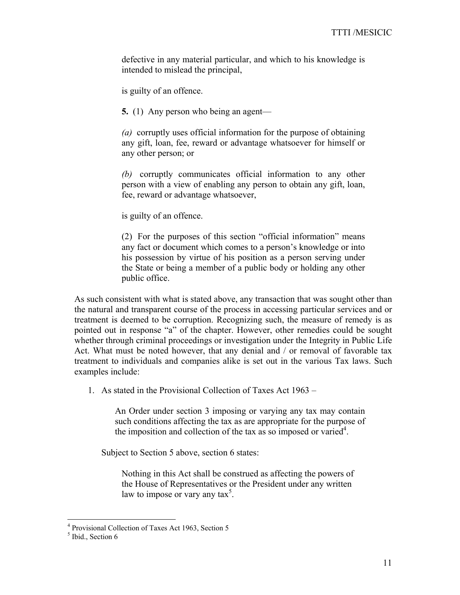defective in any material particular, and which to his knowledge is intended to mislead the principal,

is guilty of an offence.

 **5.** (1) Any person who being an agent—

*(a)* corruptly uses official information for the purpose of obtaining any gift, loan, fee, reward or advantage whatsoever for himself or any other person; or

*(b)* corruptly communicates official information to any other person with a view of enabling any person to obtain any gift, loan, fee, reward or advantage whatsoever,

is guilty of an offence.

(2) For the purposes of this section "official information" means any fact or document which comes to a person's knowledge or into his possession by virtue of his position as a person serving under the State or being a member of a public body or holding any other public office.

As such consistent with what is stated above, any transaction that was sought other than the natural and transparent course of the process in accessing particular services and or treatment is deemed to be corruption. Recognizing such, the measure of remedy is as pointed out in response "a" of the chapter. However, other remedies could be sought whether through criminal proceedings or investigation under the Integrity in Public Life Act. What must be noted however, that any denial and / or removal of favorable tax treatment to individuals and companies alike is set out in the various Tax laws. Such examples include:

1. As stated in the Provisional Collection of Taxes Act 1963 –

An Order under section 3 imposing or varying any tax may contain such conditions affecting the tax as are appropriate for the purpose of the imposition and collection of the tax as so imposed or varied<sup>4</sup>.

Subject to Section 5 above, section 6 states:

Nothing in this Act shall be construed as affecting the powers of the House of Representatives or the President under any written law to impose or vary any tax<sup>5</sup>.

 4 Provisional Collection of Taxes Act 1963, Section 5

<sup>&</sup>lt;sup>5</sup> Ibid., Section 6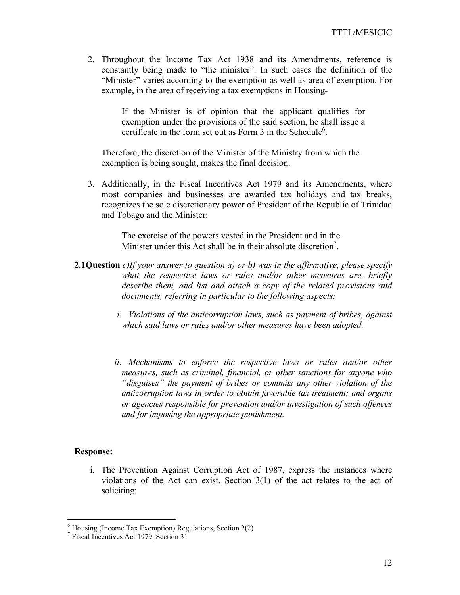2. Throughout the Income Tax Act 1938 and its Amendments, reference is constantly being made to "the minister". In such cases the definition of the "Minister" varies according to the exemption as well as area of exemption. For example, in the area of receiving a tax exemptions in Housing-

> If the Minister is of opinion that the applicant qualifies for exemption under the provisions of the said section, he shall issue a certificate in the form set out as Form  $3$  in the Schedule<sup>6</sup>.

Therefore, the discretion of the Minister of the Ministry from which the exemption is being sought, makes the final decision.

3. Additionally, in the Fiscal Incentives Act 1979 and its Amendments, where most companies and businesses are awarded tax holidays and tax breaks, recognizes the sole discretionary power of President of the Republic of Trinidad and Tobago and the Minister:

> The exercise of the powers vested in the President and in the Minister under this Act shall be in their absolute discretion<sup>7</sup>.

- **2.1Question** *c)If your answer to question a) or b) was in the affirmative, please specify what the respective laws or rules and/or other measures are, briefly describe them, and list and attach a copy of the related provisions and documents, referring in particular to the following aspects:* 
	- *i. Violations of the anticorruption laws, such as payment of bribes, against which said laws or rules and/or other measures have been adopted.*
	- *ii. Mechanisms to enforce the respective laws or rules and/or other measures, such as criminal, financial, or other sanctions for anyone who "disguises" the payment of bribes or commits any other violation of the anticorruption laws in order to obtain favorable tax treatment; and organs or agencies responsible for prevention and/or investigation of such offences and for imposing the appropriate punishment.*

#### **Response:**

i. The Prevention Against Corruption Act of 1987, express the instances where violations of the Act can exist. Section 3(1) of the act relates to the act of soliciting:

 6 Housing (Income Tax Exemption) Regulations, Section 2(2)

<sup>7</sup> Fiscal Incentives Act 1979, Section 31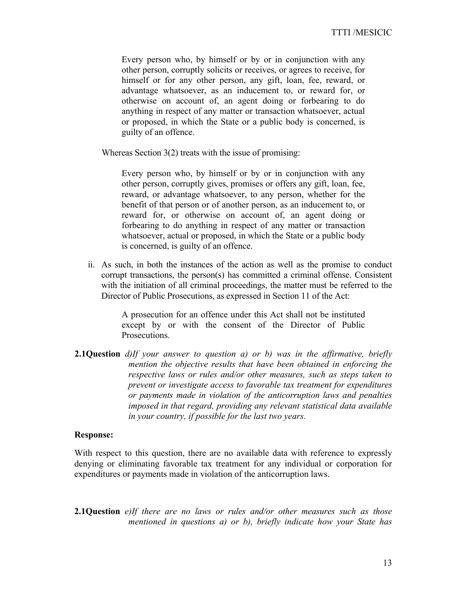Every person who, by himself or by or in conjunction with any other person, corruptly solicits or receives, or agrees to receive, for himself or for any other person, any gift, loan, fee, reward, or advantage whatsoever, as an inducement to, or reward for, or otherwise on account of, an agent doing or forbearing to do anything in respect of any matter or transaction whatsoever, actual or proposed, in which the State or a public body is concerned, is guilty of an offence.

Whereas Section 3(2) treats with the issue of promising:

Every person who, by himself or by or in conjunction with any other person, corruptly gives, promises or offers any gift, loan, fee, reward, or advantage whatsoever, to any person, whether for the benefit of that person or of another person, as an inducement to, or reward for, or otherwise on account of, an agent doing or forbearing to do anything in respect of any matter or transaction whatsoever, actual or proposed, in which the State or a public body is concerned, is guilty of an offence.

ii. As such, in both the instances of the action as well as the promise to conduct corrupt transactions, the person(s) has committed a criminal offense. Consistent with the initiation of all criminal proceedings, the matter must be referred to the Director of Public Prosecutions, as expressed in Section 11 of the Act:

> A prosecution for an offence under this Act shall not be instituted except by or with the consent of the Director of Public Prosecutions.

**2.1Question** *d)If your answer to question a) or b) was in the affirmative, briefly mention the objective results that have been obtained in enforcing the respective laws or rules and/or other measures, such as steps taken to prevent or investigate access to favorable tax treatment for expenditures or payments made in violation of the anticorruption laws and penalties imposed in that regard, providing any relevant statistical data available in your country, if possible for the last two years.*

#### **Response:**

With respect to this question, there are no available data with reference to expressly denying or eliminating favorable tax treatment for any individual or corporation for expenditures or payments made in violation of the anticorruption laws.

**2.1Question** *e)If there are no laws or rules and/or other measures such as those mentioned in questions a) or b), briefly indicate how your State has*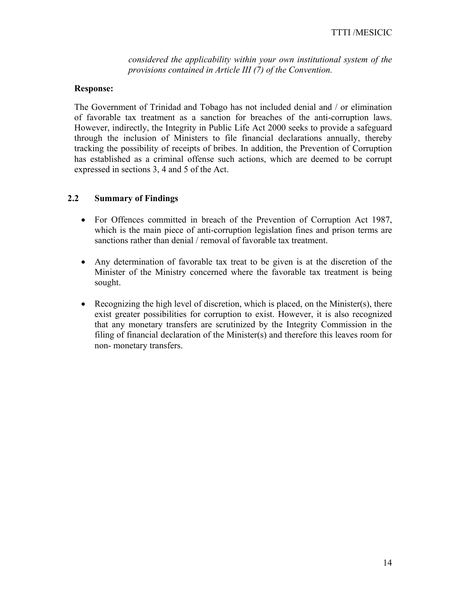*considered the applicability within your own institutional system of the provisions contained in Article III (7) of the Convention.* 

## **Response:**

The Government of Trinidad and Tobago has not included denial and / or elimination of favorable tax treatment as a sanction for breaches of the anti-corruption laws. However, indirectly, the Integrity in Public Life Act 2000 seeks to provide a safeguard through the inclusion of Ministers to file financial declarations annually, thereby tracking the possibility of receipts of bribes. In addition, the Prevention of Corruption has established as a criminal offense such actions, which are deemed to be corrupt expressed in sections 3, 4 and 5 of the Act.

## **2.2 Summary of Findings**

- For Offences committed in breach of the Prevention of Corruption Act 1987, which is the main piece of anti-corruption legislation fines and prison terms are sanctions rather than denial / removal of favorable tax treatment.
- Any determination of favorable tax treat to be given is at the discretion of the Minister of the Ministry concerned where the favorable tax treatment is being sought.
- Recognizing the high level of discretion, which is placed, on the Minister(s), there exist greater possibilities for corruption to exist. However, it is also recognized that any monetary transfers are scrutinized by the Integrity Commission in the filing of financial declaration of the Minister(s) and therefore this leaves room for non- monetary transfers.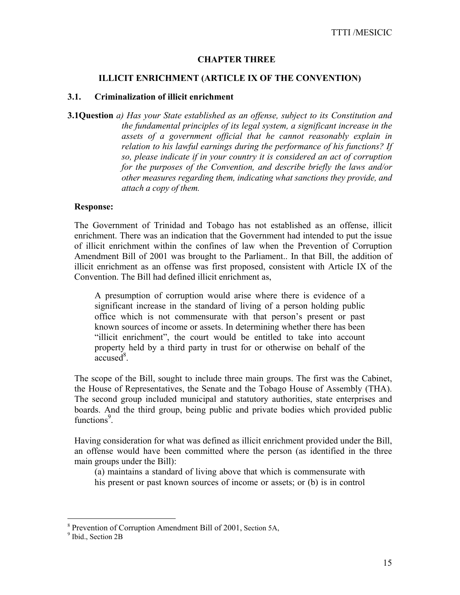## **CHAPTER THREE**

### **ILLICIT ENRICHMENT (ARTICLE IX OF THE CONVENTION)**

#### **3.1. Criminalization of illicit enrichment**

**3.1Question** *a) Has your State established as an offense, subject to its Constitution and the fundamental principles of its legal system, a significant increase in the assets of a government official that he cannot reasonably explain in relation to his lawful earnings during the performance of his functions? If so, please indicate if in your country it is considered an act of corruption for the purposes of the Convention, and describe briefly the laws and/or other measures regarding them, indicating what sanctions they provide, and attach a copy of them.* 

#### **Response:**

The Government of Trinidad and Tobago has not established as an offense, illicit enrichment. There was an indication that the Government had intended to put the issue of illicit enrichment within the confines of law when the Prevention of Corruption Amendment Bill of 2001 was brought to the Parliament.. In that Bill, the addition of illicit enrichment as an offense was first proposed, consistent with Article IX of the Convention. The Bill had defined illicit enrichment as,

A presumption of corruption would arise where there is evidence of a significant increase in the standard of living of a person holding public office which is not commensurate with that person's present or past known sources of income or assets. In determining whether there has been "illicit enrichment", the court would be entitled to take into account property held by a third party in trust for or otherwise on behalf of the  $\arccos \tilde{d}^8$ .

The scope of the Bill, sought to include three main groups. The first was the Cabinet, the House of Representatives, the Senate and the Tobago House of Assembly (THA). The second group included municipal and statutory authorities, state enterprises and boards. And the third group, being public and private bodies which provided public functions<sup>9</sup>.

Having consideration for what was defined as illicit enrichment provided under the Bill, an offense would have been committed where the person (as identified in the three main groups under the Bill):

(a) maintains a standard of living above that which is commensurate with

his present or past known sources of income or assets; or (b) is in control

<sup>&</sup>lt;sup>8</sup> Prevention of Corruption Amendment Bill of 2001, Section 5A,  $9 \text{ }\text{Pbid}$  Section 2P

 $<sup>9</sup>$  Ibid., Section 2B</sup>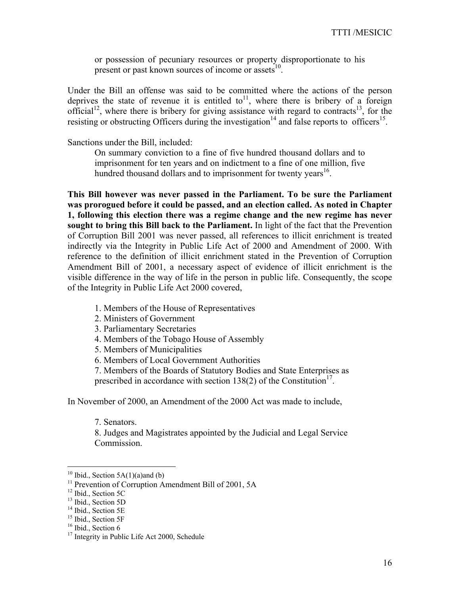or possession of pecuniary resources or property disproportionate to his present or past known sources of income or assets $^{10}$ .

Under the Bill an offense was said to be committed where the actions of the person deprives the state of revenue it is entitled to<sup>11</sup>, where there is bribery of a foreign official<sup>12</sup>, where there is bribery for giving assistance with regard to contracts<sup>13</sup>, for the resisting or obstructing Officers during the investigation<sup>14</sup> and false reports to officers<sup>15</sup>.

Sanctions under the Bill, included:

On summary conviction to a fine of five hundred thousand dollars and to imprisonment for ten years and on indictment to a fine of one million, five hundred thousand dollars and to imprisonment for twenty years<sup>16</sup>.

**This Bill however was never passed in the Parliament. To be sure the Parliament was prorogued before it could be passed, and an election called. As noted in Chapter 1, following this election there was a regime change and the new regime has never sought to bring this Bill back to the Parliament.** In light of the fact that the Prevention of Corruption Bill 2001 was never passed, all references to illicit enrichment is treated indirectly via the Integrity in Public Life Act of 2000 and Amendment of 2000. With reference to the definition of illicit enrichment stated in the Prevention of Corruption Amendment Bill of 2001, a necessary aspect of evidence of illicit enrichment is the visible difference in the way of life in the person in public life. Consequently, the scope of the Integrity in Public Life Act 2000 covered,

- 1. Members of the House of Representatives
- 2. Ministers of Government
- 3. Parliamentary Secretaries
- 4. Members of the Tobago House of Assembly
- 5. Members of Municipalities
- 6. Members of Local Government Authorities

7. Members of the Boards of Statutory Bodies and State Enterprises as prescribed in accordance with section 138(2) of the Constitution<sup>17</sup>.

In November of 2000, an Amendment of the 2000 Act was made to include,

7. Senators.

8. Judges and Magistrates appointed by the Judicial and Legal Service Commission.

 $10$  Ibid., Section 5A(1)(a)and (b)

<sup>&</sup>lt;sup>11</sup> Prevention of Corruption Amendment Bill of 2001, 5A <sup>12</sup> Ibid., Section 5C

<sup>&</sup>lt;sup>13</sup> Ibid., Section 5D

<sup>&</sup>lt;sup>14</sup> Ibid., Section 5E

<sup>&</sup>lt;sup>15</sup> Ibid., Section 5F

 $16$  Ibid., Section 6

<sup>&</sup>lt;sup>17</sup> Integrity in Public Life Act 2000, Schedule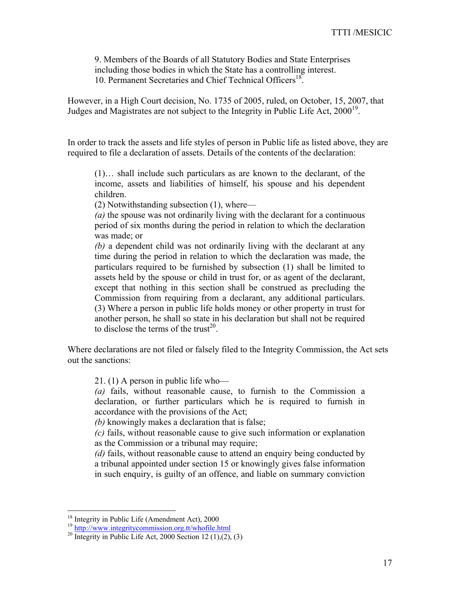9. Members of the Boards of all Statutory Bodies and State Enterprises including those bodies in which the State has a controlling interest. 10. Permanent Secretaries and Chief Technical Officers<sup>18</sup>.

However, in a High Court decision, No. 1735 of 2005, ruled, on October, 15, 2007, that Judges and Magistrates are not subject to the Integrity in Public Life Act,  $2000^{19}$ .

In order to track the assets and life styles of person in Public life as listed above, they are required to file a declaration of assets. Details of the contents of the declaration:

(1)… shall include such particulars as are known to the declarant, of the income, assets and liabilities of himself, his spouse and his dependent children.

(2) Notwithstanding subsection (1), where—

*(a)* the spouse was not ordinarily living with the declarant for a continuous period of six months during the period in relation to which the declaration was made; or

*(b)* a dependent child was not ordinarily living with the declarant at any time during the period in relation to which the declaration was made, the particulars required to be furnished by subsection (1) shall be limited to assets held by the spouse or child in trust for, or as agent of the declarant, except that nothing in this section shall be construed as precluding the Commission from requiring from a declarant, any additional particulars. (3) Where a person in public life holds money or other property in trust for another person, he shall so state in his declaration but shall not be required to disclose the terms of the trust<sup>20</sup>.

Where declarations are not filed or falsely filed to the Integrity Commission, the Act sets out the sanctions:

21. (1) A person in public life who—

*(a)* fails, without reasonable cause, to furnish to the Commission a declaration, or further particulars which he is required to furnish in accordance with the provisions of the Act;

*(b)* knowingly makes a declaration that is false;

*(c)* fails, without reasonable cause to give such information or explanation as the Commission or a tribunal may require;

*(d)* fails, without reasonable cause to attend an enquiry being conducted by a tribunal appointed under section 15 or knowingly gives false information in such enquiry, is guilty of an offence, and liable on summary conviction

<sup>&</sup>lt;sup>18</sup> Integrity in Public Life (Amendment Act), 2000

<sup>&</sup>lt;sup>19</sup> http://www.integritycommission.org.tt/whofile.html<br><sup>20</sup> Integrity in Public Life Act, 2000 Section 12 (1),(2), (3)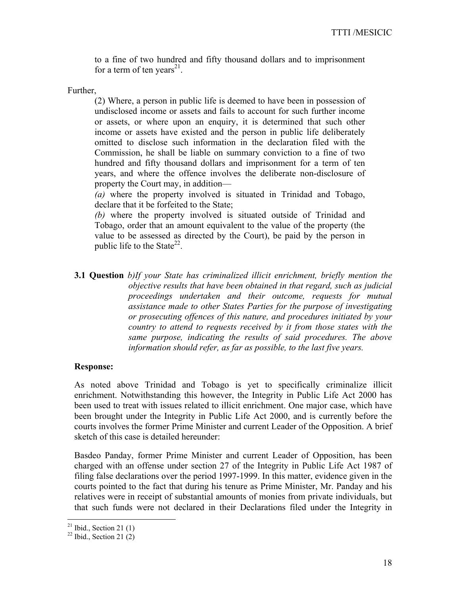to a fine of two hundred and fifty thousand dollars and to imprisonment for a term of ten years<sup>21</sup>.

Further,

(2) Where, a person in public life is deemed to have been in possession of undisclosed income or assets and fails to account for such further income or assets, or where upon an enquiry, it is determined that such other income or assets have existed and the person in public life deliberately omitted to disclose such information in the declaration filed with the Commission, he shall be liable on summary conviction to a fine of two hundred and fifty thousand dollars and imprisonment for a term of ten years, and where the offence involves the deliberate non-disclosure of property the Court may, in addition—

*(a)* where the property involved is situated in Trinidad and Tobago, declare that it be forfeited to the State;

*(b)* where the property involved is situated outside of Trinidad and Tobago, order that an amount equivalent to the value of the property (the value to be assessed as directed by the Court), be paid by the person in public life to the State<sup>22</sup>.

**3.1 Question** *b)If your State has criminalized illicit enrichment, briefly mention the objective results that have been obtained in that regard, such as judicial proceedings undertaken and their outcome, requests for mutual assistance made to other States Parties for the purpose of investigating or prosecuting offences of this nature, and procedures initiated by your country to attend to requests received by it from those states with the same purpose, indicating the results of said procedures. The above information should refer, as far as possible, to the last five years.* 

### **Response:**

As noted above Trinidad and Tobago is yet to specifically criminalize illicit enrichment. Notwithstanding this however, the Integrity in Public Life Act 2000 has been used to treat with issues related to illicit enrichment. One major case, which have been brought under the Integrity in Public Life Act 2000, and is currently before the courts involves the former Prime Minister and current Leader of the Opposition. A brief sketch of this case is detailed hereunder:

Basdeo Panday, former Prime Minister and current Leader of Opposition, has been charged with an offense under section 27 of the Integrity in Public Life Act 1987 of filing false declarations over the period 1997-1999. In this matter, evidence given in the courts pointed to the fact that during his tenure as Prime Minister, Mr. Panday and his relatives were in receipt of substantial amounts of monies from private individuals, but that such funds were not declared in their Declarations filed under the Integrity in

 $21$  Ibid., Section 21 (1)

 $22$  Ibid., Section 21 (2)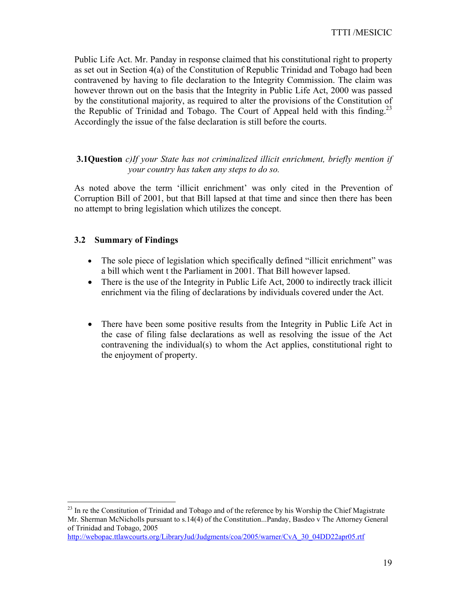Public Life Act. Mr. Panday in response claimed that his constitutional right to property as set out in Section 4(a) of the Constitution of Republic Trinidad and Tobago had been contravened by having to file declaration to the Integrity Commission. The claim was however thrown out on the basis that the Integrity in Public Life Act, 2000 was passed by the constitutional majority, as required to alter the provisions of the Constitution of the Republic of Trinidad and Tobago. The Court of Appeal held with this finding.<sup>23</sup> Accordingly the issue of the false declaration is still before the courts.

## **3.1Question** *c)If your State has not criminalized illicit enrichment, briefly mention if your country has taken any steps to do so.*

As noted above the term 'illicit enrichment' was only cited in the Prevention of Corruption Bill of 2001, but that Bill lapsed at that time and since then there has been no attempt to bring legislation which utilizes the concept.

## **3.2 Summary of Findings**

 $\overline{a}$ 

- The sole piece of legislation which specifically defined "illicit enrichment" was a bill which went t the Parliament in 2001. That Bill however lapsed.
- There is the use of the Integrity in Public Life Act, 2000 to indirectly track illicit enrichment via the filing of declarations by individuals covered under the Act.
- There have been some positive results from the Integrity in Public Life Act in the case of filing false declarations as well as resolving the issue of the Act contravening the individual(s) to whom the Act applies, constitutional right to the enjoyment of property.

http://webopac.ttlawcourts.org/LibraryJud/Judgments/coa/2005/warner/CvA\_30\_04DD22apr05.rtf

 $^{23}$  In re the Constitution of Trinidad and Tobago and of the reference by his Worship the Chief Magistrate Mr. Sherman McNicholls pursuant to s.14(4) of the Constitution...Panday, Basdeo v The Attorney General of Trinidad and Tobago, 2005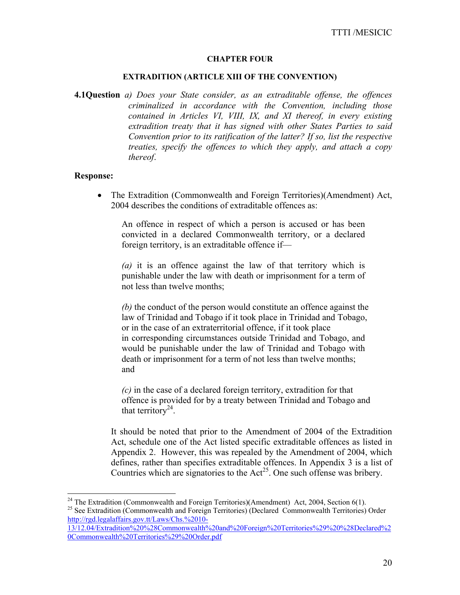#### **CHAPTER FOUR**

#### **EXTRADITION (ARTICLE XIII OF THE CONVENTION)**

**4.1Question** *a) Does your State consider, as an extraditable offense, the offences criminalized in accordance with the Convention, including those contained in Articles VI, VIII, IX, and XI thereof, in every existing extradition treaty that it has signed with other States Parties to said Convention prior to its ratification of the latter? If so, list the respective treaties, specify the offences to which they apply, and attach a copy thereof*.

#### **Response:**

 $\overline{a}$ 

• The Extradition (Commonwealth and Foreign Territories)(Amendment) Act, 2004 describes the conditions of extraditable offences as:

An offence in respect of which a person is accused or has been convicted in a declared Commonwealth territory, or a declared foreign territory, is an extraditable offence if—

*(a)* it is an offence against the law of that territory which is punishable under the law with death or imprisonment for a term of not less than twelve months;

*(b)* the conduct of the person would constitute an offence against the law of Trinidad and Tobago if it took place in Trinidad and Tobago, or in the case of an extraterritorial offence, if it took place in corresponding circumstances outside Trinidad and Tobago, and would be punishable under the law of Trinidad and Tobago with death or imprisonment for a term of not less than twelve months; and

*(c)* in the case of a declared foreign territory, extradition for that offence is provided for by a treaty between Trinidad and Tobago and that territory<sup>24</sup>.

It should be noted that prior to the Amendment of 2004 of the Extradition Act, schedule one of the Act listed specific extraditable offences as listed in Appendix 2. However, this was repealed by the Amendment of 2004, which defines, rather than specifies extraditable offences. In Appendix 3 is a list of Countries which are signatories to the  $Act^{25}$ . One such offense was bribery.

<sup>&</sup>lt;sup>24</sup> The Extradition (Commonwealth and Foreign Territories)(Amendment) Act, 2004, Section 6(1).  $^{25}$  See Extradition (Commonwealth and Foreign Territories) (Declared Commonwealth Territories) Order http://rgd.legalaffairs.gov.tt/Laws/Chs.%2010-

<sup>13/12.04/</sup>Extradition%20%28Commonwealth%20and%20Foreign%20Territories%29%20%28Declared%2 0Commonwealth%20Territories%29%20Order.pdf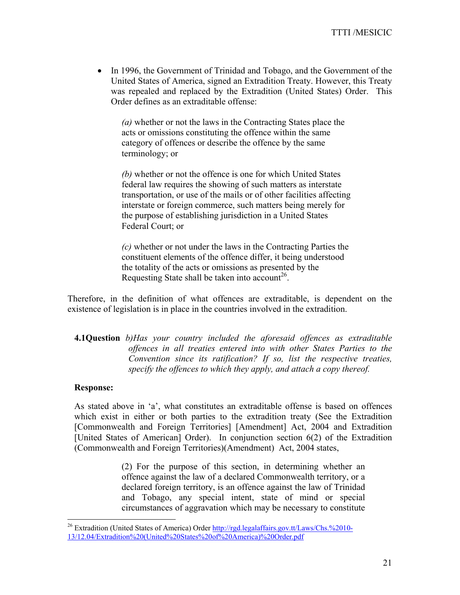• In 1996, the Government of Trinidad and Tobago, and the Government of the United States of America, signed an Extradition Treaty. However, this Treaty was repealed and replaced by the Extradition (United States) Order. This Order defines as an extraditable offense:

*(a)* whether or not the laws in the Contracting States place the acts or omissions constituting the offence within the same category of offences or describe the offence by the same terminology; or

*(b)* whether or not the offence is one for which United States federal law requires the showing of such matters as interstate transportation, or use of the mails or of other facilities affecting interstate or foreign commerce, such matters being merely for the purpose of establishing jurisdiction in a United States Federal Court; or

*(c)* whether or not under the laws in the Contracting Parties the constituent elements of the offence differ, it being understood the totality of the acts or omissions as presented by the Requesting State shall be taken into account<sup>26</sup>.

Therefore, in the definition of what offences are extraditable, is dependent on the existence of legislation is in place in the countries involved in the extradition.

**4.1Question** *b)Has your country included the aforesaid offences as extraditable offences in all treaties entered into with other States Parties to the Convention since its ratification? If so, list the respective treaties, specify the offences to which they apply, and attach a copy thereof.* 

#### **Response:**

 $\overline{a}$ 

As stated above in 'a', what constitutes an extraditable offense is based on offences which exist in either or both parties to the extradition treaty (See the Extradition [Commonwealth and Foreign Territories] [Amendment] Act, 2004 and Extradition [United States of American] Order). In conjunction section 6(2) of the Extradition (Commonwealth and Foreign Territories)(Amendment) Act, 2004 states,

> (2) For the purpose of this section, in determining whether an offence against the law of a declared Commonwealth territory, or a declared foreign territory, is an offence against the law of Trinidad and Tobago, any special intent, state of mind or special circumstances of aggravation which may be necessary to constitute

<sup>&</sup>lt;sup>26</sup> Extradition (United States of America) Order http://rgd.legalaffairs.gov.tt/Laws/Chs.%2010-13/12.04/Extradition%20(United%20States%20of%20America)%20Order.pdf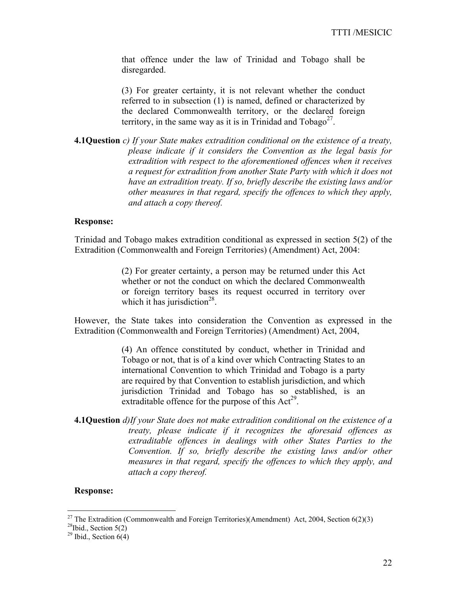that offence under the law of Trinidad and Tobago shall be disregarded.

(3) For greater certainty, it is not relevant whether the conduct referred to in subsection (1) is named, defined or characterized by the declared Commonwealth territory, or the declared foreign territory, in the same way as it is in Trinidad and  $Tobago<sup>27</sup>$ .

**4.1Question** *c) If your State makes extradition conditional on the existence of a treaty, please indicate if it considers the Convention as the legal basis for extradition with respect to the aforementioned offences when it receives a request for extradition from another State Party with which it does not have an extradition treaty. If so, briefly describe the existing laws and/or other measures in that regard, specify the offences to which they apply, and attach a copy thereof.* 

#### **Response:**

Trinidad and Tobago makes extradition conditional as expressed in section 5(2) of the Extradition (Commonwealth and Foreign Territories) (Amendment) Act, 2004:

> (2) For greater certainty, a person may be returned under this Act whether or not the conduct on which the declared Commonwealth or foreign territory bases its request occurred in territory over which it has jurisdiction<sup>28</sup>.

However, the State takes into consideration the Convention as expressed in the Extradition (Commonwealth and Foreign Territories) (Amendment) Act, 2004,

> (4) An offence constituted by conduct, whether in Trinidad and Tobago or not, that is of a kind over which Contracting States to an international Convention to which Trinidad and Tobago is a party are required by that Convention to establish jurisdiction, and which jurisdiction Trinidad and Tobago has so established, is an extraditable offence for the purpose of this  $Act^{29}$ .

**4.1Question** *d)If your State does not make extradition conditional on the existence of a treaty, please indicate if it recognizes the aforesaid offences as extraditable offences in dealings with other States Parties to the Convention. If so, briefly describe the existing laws and/or other measures in that regard, specify the offences to which they apply, and attach a copy thereof.* 

#### **Response:**

<sup>&</sup>lt;sup>27</sup> The Extradition (Commonwealth and Foreign Territories)(Amendment) Act, 2004, Section 6(2)(3) <sup>28</sup>Ibid., Section 5(2)

<sup>&</sup>lt;sup>29</sup> Ibid., Section  $6(4)$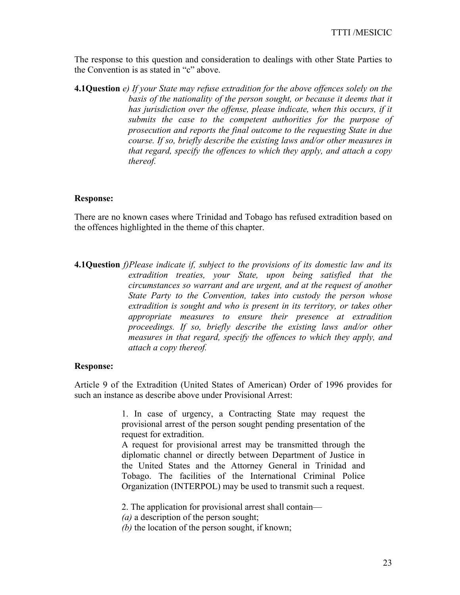The response to this question and consideration to dealings with other State Parties to the Convention is as stated in "c" above.

**4.1Question** *e) If your State may refuse extradition for the above offences solely on the basis of the nationality of the person sought, or because it deems that it has jurisdiction over the offense, please indicate, when this occurs, if it submits the case to the competent authorities for the purpose of prosecution and reports the final outcome to the requesting State in due course. If so, briefly describe the existing laws and/or other measures in that regard, specify the offences to which they apply, and attach a copy thereof.* 

## **Response:**

There are no known cases where Trinidad and Tobago has refused extradition based on the offences highlighted in the theme of this chapter.

**4.1Question** *f)Please indicate if, subject to the provisions of its domestic law and its extradition treaties, your State, upon being satisfied that the circumstances so warrant and are urgent, and at the request of another State Party to the Convention, takes into custody the person whose extradition is sought and who is present in its territory, or takes other appropriate measures to ensure their presence at extradition proceedings. If so, briefly describe the existing laws and/or other measures in that regard, specify the offences to which they apply, and attach a copy thereof.* 

### **Response:**

Article 9 of the Extradition (United States of American) Order of 1996 provides for such an instance as describe above under Provisional Arrest:

> 1. In case of urgency, a Contracting State may request the provisional arrest of the person sought pending presentation of the request for extradition.

> A request for provisional arrest may be transmitted through the diplomatic channel or directly between Department of Justice in the United States and the Attorney General in Trinidad and Tobago. The facilities of the International Criminal Police Organization (INTERPOL) may be used to transmit such a request.

2. The application for provisional arrest shall contain—

*(a)* a description of the person sought;

*(b)* the location of the person sought, if known;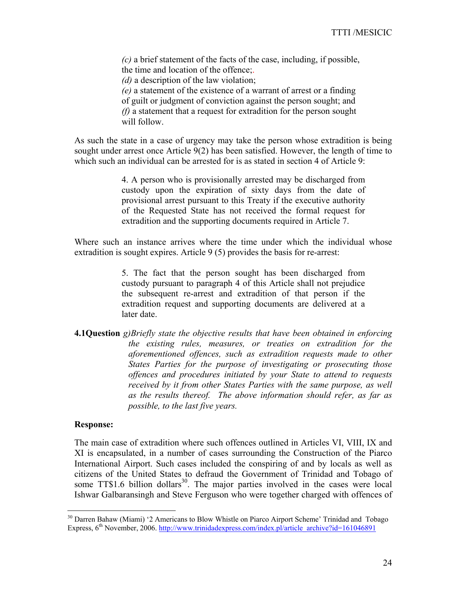*(c)* a brief statement of the facts of the case, including, if possible, the time and location of the offence;.

*(d)* a description of the law violation;

*(e)* a statement of the existence of a warrant of arrest or a finding of guilt or judgment of conviction against the person sought; and *(f)* a statement that a request for extradition for the person sought will follow.

As such the state in a case of urgency may take the person whose extradition is being sought under arrest once Article 9(2) has been satisfied. However, the length of time to which such an individual can be arrested for is as stated in section 4 of Article 9:

> 4. A person who is provisionally arrested may be discharged from custody upon the expiration of sixty days from the date of provisional arrest pursuant to this Treaty if the executive authority of the Requested State has not received the formal request for extradition and the supporting documents required in Article 7.

Where such an instance arrives where the time under which the individual whose extradition is sought expires. Article 9 (5) provides the basis for re-arrest:

> 5. The fact that the person sought has been discharged from custody pursuant to paragraph 4 of this Article shall not prejudice the subsequent re-arrest and extradition of that person if the extradition request and supporting documents are delivered at a later date.

**4.1Question** *g)Briefly state the objective results that have been obtained in enforcing the existing rules, measures, or treaties on extradition for the aforementioned offences, such as extradition requests made to other States Parties for the purpose of investigating or prosecuting those offences and procedures initiated by your State to attend to requests received by it from other States Parties with the same purpose, as well as the results thereof. The above information should refer, as far as possible, to the last five years.* 

#### **Response:**

 $\overline{a}$ 

The main case of extradition where such offences outlined in Articles VI, VIII, IX and XI is encapsulated, in a number of cases surrounding the Construction of the Piarco International Airport. Such cases included the conspiring of and by locals as well as citizens of the United States to defraud the Government of Trinidad and Tobago of some  $TT$1.6$  billion dollars<sup>30</sup>. The major parties involved in the cases were local Ishwar Galbaransingh and Steve Ferguson who were together charged with offences of

<sup>&</sup>lt;sup>30</sup> Darren Bahaw (Miami) '2 Americans to Blow Whistle on Piarco Airport Scheme' Trinidad and Tobago Express, 6<sup>th</sup> November, 2006. http://www.trinidadexpress.com/index.pl/article\_archive?id=161046891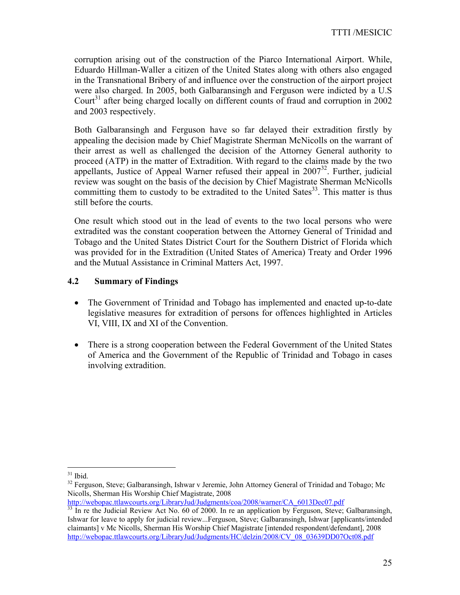corruption arising out of the construction of the Piarco International Airport. While, Eduardo Hillman-Waller a citizen of the United States along with others also engaged in the Transnational Bribery of and influence over the construction of the airport project were also charged. In 2005, both Galbaransingh and Ferguson were indicted by a U.S Court<sup>31</sup> after being charged locally on different counts of fraud and corruption in 2002 and 2003 respectively.

Both Galbaransingh and Ferguson have so far delayed their extradition firstly by appealing the decision made by Chief Magistrate Sherman McNicolls on the warrant of their arrest as well as challenged the decision of the Attorney General authority to proceed (ATP) in the matter of Extradition. With regard to the claims made by the two appellants, Justice of Appeal Warner refused their appeal in  $2007<sup>32</sup>$ . Further, judicial review was sought on the basis of the decision by Chief Magistrate Sherman McNicolls committing them to custody to be extradited to the United Sates<sup>33</sup>. This matter is thus still before the courts.

One result which stood out in the lead of events to the two local persons who were extradited was the constant cooperation between the Attorney General of Trinidad and Tobago and the United States District Court for the Southern District of Florida which was provided for in the Extradition (United States of America) Treaty and Order 1996 and the Mutual Assistance in Criminal Matters Act, 1997.

## **4.2 Summary of Findings**

- The Government of Trinidad and Tobago has implemented and enacted up-to-date legislative measures for extradition of persons for offences highlighted in Articles VI, VIII, IX and XI of the Convention.
- There is a strong cooperation between the Federal Government of the United States of America and the Government of the Republic of Trinidad and Tobago in cases involving extradition.

 $31$  Ibid.

<sup>&</sup>lt;sup>32</sup> Ferguson, Steve; Galbaransingh, Ishwar v Jeremie, John Attorney General of Trinidad and Tobago; Mc Nicolls, Sherman His Worship Chief Magistrate, 2008

http://webopac.ttlawcourts.org/LibraryJud/Judgments/coa/2008/warner/CA\_6013Dec07.pdf<br><sup>33</sup> In re the Judicial Review Act No. 60 of 2000. In re an application by Ferguson, Steve; Galbaransingh, Ishwar for leave to apply for judicial review...Ferguson, Steve; Galbaransingh, Ishwar [applicants/intended claimants] v Mc Nicolls, Sherman His Worship Chief Magistrate [intended respondent/defendant], 2008 http://webopac.ttlawcourts.org/LibraryJud/Judgments/HC/delzin/2008/CV\_08\_03639DD07Oct08.pdf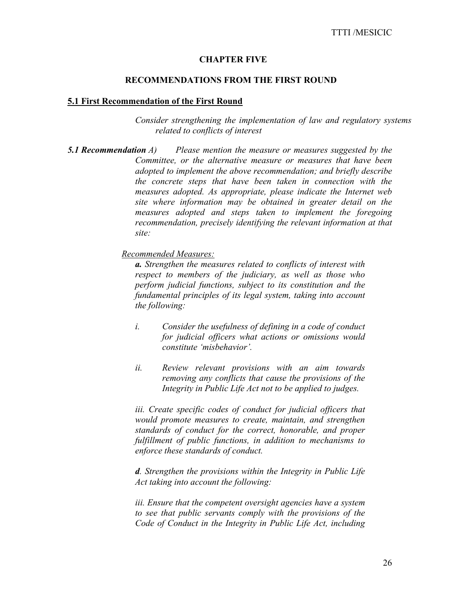#### **CHAPTER FIVE**

#### **RECOMMENDATIONS FROM THE FIRST ROUND**

#### **5.1 First Recommendation of the First Round**

*Consider strengthening the implementation of law and regulatory systems related to conflicts of interest* 

*5.1 Recommendation A) Please mention the measure or measures suggested by the Committee, or the alternative measure or measures that have been adopted to implement the above recommendation; and briefly describe the concrete steps that have been taken in connection with the measures adopted. As appropriate, please indicate the Internet web site where information may be obtained in greater detail on the measures adopted and steps taken to implement the foregoing recommendation, precisely identifying the relevant information at that site:* 

*Recommended Measures:*

*a. Strengthen the measures related to conflicts of interest with respect to members of the judiciary, as well as those who perform judicial functions, subject to its constitution and the fundamental principles of its legal system, taking into account the following:* 

- *i. Consider the usefulness of defining in a code of conduct for judicial officers what actions or omissions would constitute 'misbehavior'.*
- *ii. Review relevant provisions with an aim towards removing any conflicts that cause the provisions of the Integrity in Public Life Act not to be applied to judges.*

*iii. Create specific codes of conduct for judicial officers that would promote measures to create, maintain, and strengthen standards of conduct for the correct, honorable, and proper fulfillment of public functions, in addition to mechanisms to enforce these standards of conduct.* 

*d. Strengthen the provisions within the Integrity in Public Life Act taking into account the following:* 

*iii. Ensure that the competent oversight agencies have a system to see that public servants comply with the provisions of the Code of Conduct in the Integrity in Public Life Act, including*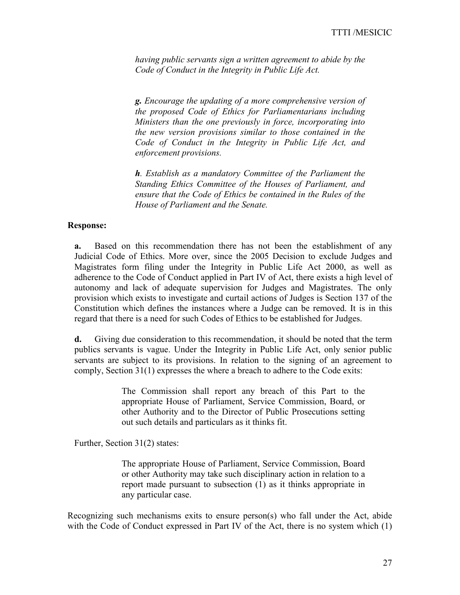*having public servants sign a written agreement to abide by the Code of Conduct in the Integrity in Public Life Act.* 

*g. Encourage the updating of a more comprehensive version of the proposed Code of Ethics for Parliamentarians including Ministers than the one previously in force, incorporating into the new version provisions similar to those contained in the Code of Conduct in the Integrity in Public Life Act, and enforcement provisions.* 

*h. Establish as a mandatory Committee of the Parliament the Standing Ethics Committee of the Houses of Parliament, and ensure that the Code of Ethics be contained in the Rules of the House of Parliament and the Senate.* 

#### **Response:**

**a.** Based on this recommendation there has not been the establishment of any Judicial Code of Ethics. More over, since the 2005 Decision to exclude Judges and Magistrates form filing under the Integrity in Public Life Act 2000, as well as adherence to the Code of Conduct applied in Part IV of Act, there exists a high level of autonomy and lack of adequate supervision for Judges and Magistrates. The only provision which exists to investigate and curtail actions of Judges is Section 137 of the Constitution which defines the instances where a Judge can be removed. It is in this regard that there is a need for such Codes of Ethics to be established for Judges.

**d.** Giving due consideration to this recommendation, it should be noted that the term publics servants is vague. Under the Integrity in Public Life Act, only senior public servants are subject to its provisions. In relation to the signing of an agreement to comply, Section 31(1) expresses the where a breach to adhere to the Code exits:

> The Commission shall report any breach of this Part to the appropriate House of Parliament, Service Commission, Board, or other Authority and to the Director of Public Prosecutions setting out such details and particulars as it thinks fit.

Further, Section 31(2) states:

The appropriate House of Parliament, Service Commission, Board or other Authority may take such disciplinary action in relation to a report made pursuant to subsection (1) as it thinks appropriate in any particular case.

Recognizing such mechanisms exits to ensure person(s) who fall under the Act, abide with the Code of Conduct expressed in Part IV of the Act, there is no system which (1)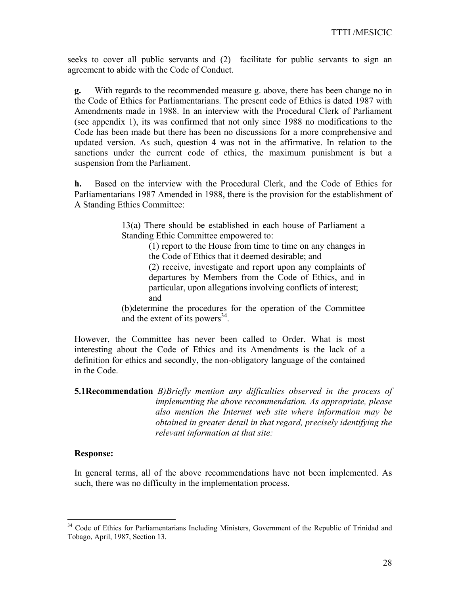seeks to cover all public servants and (2) facilitate for public servants to sign an agreement to abide with the Code of Conduct.

**g.** With regards to the recommended measure g. above, there has been change no in the Code of Ethics for Parliamentarians. The present code of Ethics is dated 1987 with Amendments made in 1988. In an interview with the Procedural Clerk of Parliament (see appendix 1), its was confirmed that not only since 1988 no modifications to the Code has been made but there has been no discussions for a more comprehensive and updated version. As such, question 4 was not in the affirmative. In relation to the sanctions under the current code of ethics, the maximum punishment is but a suspension from the Parliament.

**h.** Based on the interview with the Procedural Clerk, and the Code of Ethics for Parliamentarians 1987 Amended in 1988, there is the provision for the establishment of A Standing Ethics Committee:

> 13(a) There should be established in each house of Parliament a Standing Ethic Committee empowered to:

> > (1) report to the House from time to time on any changes in the Code of Ethics that it deemed desirable; and

> > (2) receive, investigate and report upon any complaints of departures by Members from the Code of Ethics, and in particular, upon allegations involving conflicts of interest; and

(b)determine the procedures for the operation of the Committee and the extent of its powers $^{34}$ .

However, the Committee has never been called to Order. What is most interesting about the Code of Ethics and its Amendments is the lack of a definition for ethics and secondly, the non-obligatory language of the contained in the Code.

## **5.1Recommendation** *B)Briefly mention any difficulties observed in the process of implementing the above recommendation. As appropriate, please also mention the Internet web site where information may be obtained in greater detail in that regard, precisely identifying the relevant information at that site:*

### **Response:**

 $\overline{a}$ 

In general terms, all of the above recommendations have not been implemented. As such, there was no difficulty in the implementation process.

<sup>&</sup>lt;sup>34</sup> Code of Ethics for Parliamentarians Including Ministers, Government of the Republic of Trinidad and Tobago, April, 1987, Section 13.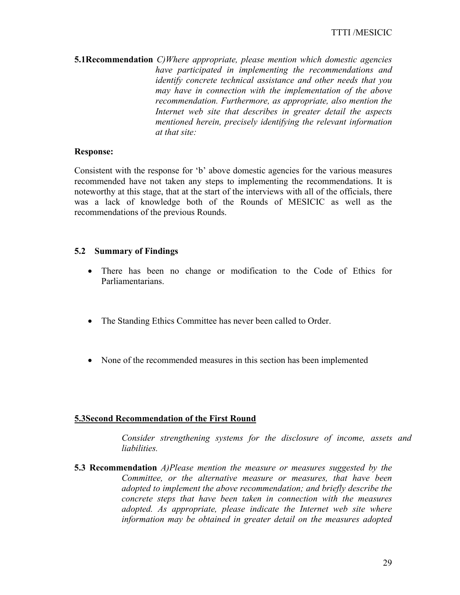**5.1Recommendation** *C)Where appropriate, please mention which domestic agencies have participated in implementing the recommendations and identify concrete technical assistance and other needs that you may have in connection with the implementation of the above recommendation. Furthermore, as appropriate, also mention the Internet web site that describes in greater detail the aspects mentioned herein, precisely identifying the relevant information at that site:* 

### **Response:**

Consistent with the response for 'b' above domestic agencies for the various measures recommended have not taken any steps to implementing the recommendations. It is noteworthy at this stage, that at the start of the interviews with all of the officials, there was a lack of knowledge both of the Rounds of MESICIC as well as the recommendations of the previous Rounds.

#### **5.2 Summary of Findings**

- There has been no change or modification to the Code of Ethics for Parliamentarians.
- The Standing Ethics Committee has never been called to Order.
- None of the recommended measures in this section has been implemented

### **5.3Second Recommendation of the First Round**

*Consider strengthening systems for the disclosure of income, assets and liabilities.*

**5.3 Recommendation** *A)Please mention the measure or measures suggested by the Committee, or the alternative measure or measures, that have been adopted to implement the above recommendation; and briefly describe the concrete steps that have been taken in connection with the measures adopted. As appropriate, please indicate the Internet web site where information may be obtained in greater detail on the measures adopted*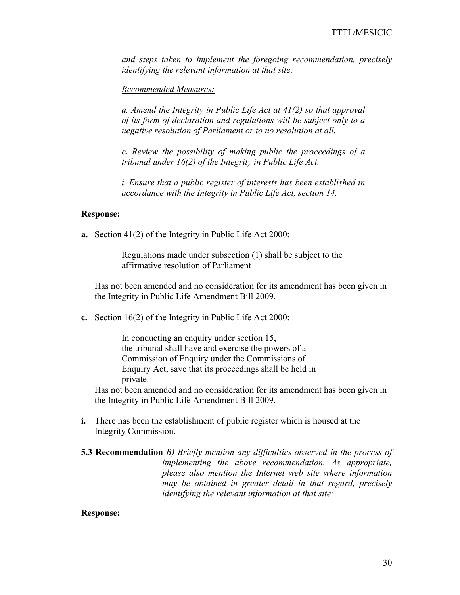*and steps taken to implement the foregoing recommendation, precisely identifying the relevant information at that site:* 

*Recommended Measures:*

*a. Amend the Integrity in Public Life Act at 41(2) so that approval of its form of declaration and regulations will be subject only to a negative resolution of Parliament or to no resolution at all.* 

*c. Review the possibility of making public the proceedings of a tribunal under 16(2) of the Integrity in Public Life Act.* 

*i. Ensure that a public register of interests has been established in accordance with the Integrity in Public Life Act, section 14.* 

#### **Response:**

**a.** Section 41(2) of the Integrity in Public Life Act 2000:

Regulations made under subsection (1) shall be subject to the affirmative resolution of Parliament

Has not been amended and no consideration for its amendment has been given in the Integrity in Public Life Amendment Bill 2009.

**c.** Section 16(2) of the Integrity in Public Life Act 2000:

In conducting an enquiry under section 15, the tribunal shall have and exercise the powers of a Commission of Enquiry under the Commissions of Enquiry Act, save that its proceedings shall be held in private.

Has not been amended and no consideration for its amendment has been given in the Integrity in Public Life Amendment Bill 2009.

- **i.** There has been the establishment of public register which is housed at the Integrity Commission.
- **5.3 Recommendation** *B) Briefly mention any difficulties observed in the process of implementing the above recommendation. As appropriate, please also mention the Internet web site where information may be obtained in greater detail in that regard, precisely identifying the relevant information at that site:*

#### **Response:**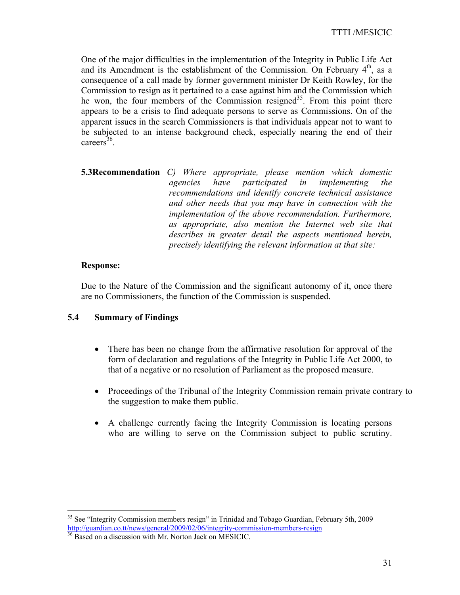One of the major difficulties in the implementation of the Integrity in Public Life Act and its Amendment is the establishment of the Commission. On February  $4<sup>th</sup>$ , as a consequence of a call made by former government minister Dr Keith Rowley, for the Commission to resign as it pertained to a case against him and the Commission which he won, the four members of the Commission resigned<sup>35</sup>. From this point there appears to be a crisis to find adequate persons to serve as Commissions. On of the apparent issues in the search Commissioners is that individuals appear not to want to be subjected to an intense background check, especially nearing the end of their careers<sup>36</sup>.

**5.3Recommendation** *C) Where appropriate, please mention which domestic agencies have participated in implementing the recommendations and identify concrete technical assistance and other needs that you may have in connection with the implementation of the above recommendation. Furthermore, as appropriate, also mention the Internet web site that describes in greater detail the aspects mentioned herein, precisely identifying the relevant information at that site:* 

### **Response:**

Due to the Nature of the Commission and the significant autonomy of it, once there are no Commissioners, the function of the Commission is suspended.

## **5.4 Summary of Findings**

- There has been no change from the affirmative resolution for approval of the form of declaration and regulations of the Integrity in Public Life Act 2000, to that of a negative or no resolution of Parliament as the proposed measure.
- Proceedings of the Tribunal of the Integrity Commission remain private contrary to the suggestion to make them public.
- A challenge currently facing the Integrity Commission is locating persons who are willing to serve on the Commission subject to public scrutiny.

 $\overline{a}$ <sup>35</sup> See "Integrity Commission members resign" in Trinidad and Tobago Guardian, February 5th, 2009 http://guardian.co.tt/news/general/2009/02/06/integrity-commission-members-resign

<sup>36</sup> Based on a discussion with Mr. Norton Jack on MESICIC.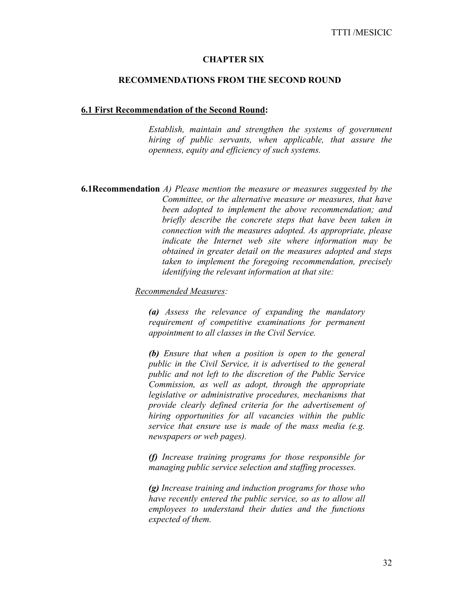#### **CHAPTER SIX**

#### **RECOMMENDATIONS FROM THE SECOND ROUND**

#### **6.1 First Recommendation of the Second Round:**

*Establish, maintain and strengthen the systems of government hiring of public servants, when applicable, that assure the openness, equity and efficiency of such systems.* 

**6.1Recommendation** *A) Please mention the measure or measures suggested by the Committee, or the alternative measure or measures, that have been adopted to implement the above recommendation; and briefly describe the concrete steps that have been taken in connection with the measures adopted. As appropriate, please indicate the Internet web site where information may be obtained in greater detail on the measures adopted and steps taken to implement the foregoing recommendation, precisely identifying the relevant information at that site:* 

*Recommended Measures:* 

*(a) Assess the relevance of expanding the mandatory requirement of competitive examinations for permanent appointment to all classes in the Civil Service.* 

*(b) Ensure that when a position is open to the general public in the Civil Service, it is advertised to the general public and not left to the discretion of the Public Service Commission, as well as adopt, through the appropriate legislative or administrative procedures, mechanisms that provide clearly defined criteria for the advertisement of hiring opportunities for all vacancies within the public service that ensure use is made of the mass media (e.g. newspapers or web pages).* 

*(f) Increase training programs for those responsible for managing public service selection and staffing processes.* 

*(g) Increase training and induction programs for those who have recently entered the public service, so as to allow all employees to understand their duties and the functions expected of them.*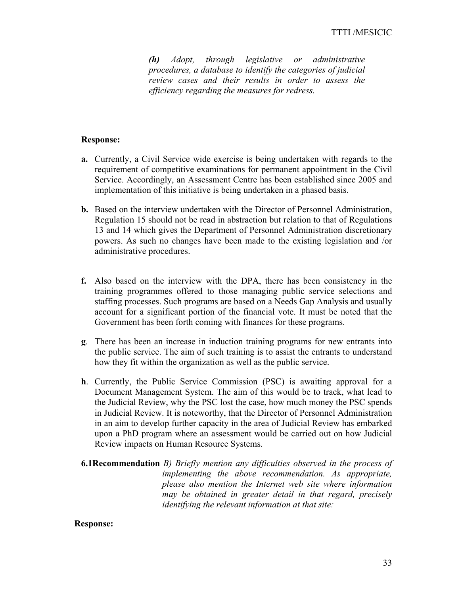*(h) Adopt, through legislative or administrative procedures, a database to identify the categories of judicial review cases and their results in order to assess the efficiency regarding the measures for redress.* 

#### **Response:**

- **a.** Currently, a Civil Service wide exercise is being undertaken with regards to the requirement of competitive examinations for permanent appointment in the Civil Service. Accordingly, an Assessment Centre has been established since 2005 and implementation of this initiative is being undertaken in a phased basis.
- **b.** Based on the interview undertaken with the Director of Personnel Administration, Regulation 15 should not be read in abstraction but relation to that of Regulations 13 and 14 which gives the Department of Personnel Administration discretionary powers. As such no changes have been made to the existing legislation and /or administrative procedures.
- **f.** Also based on the interview with the DPA, there has been consistency in the training programmes offered to those managing public service selections and staffing processes. Such programs are based on a Needs Gap Analysis and usually account for a significant portion of the financial vote. It must be noted that the Government has been forth coming with finances for these programs.
- **g**. There has been an increase in induction training programs for new entrants into the public service. The aim of such training is to assist the entrants to understand how they fit within the organization as well as the public service.
- **h**. Currently, the Public Service Commission (PSC) is awaiting approval for a Document Management System. The aim of this would be to track, what lead to the Judicial Review, why the PSC lost the case, how much money the PSC spends in Judicial Review. It is noteworthy, that the Director of Personnel Administration in an aim to develop further capacity in the area of Judicial Review has embarked upon a PhD program where an assessment would be carried out on how Judicial Review impacts on Human Resource Systems.
- **6.1Recommendation** *B) Briefly mention any difficulties observed in the process of implementing the above recommendation. As appropriate, please also mention the Internet web site where information may be obtained in greater detail in that regard, precisely identifying the relevant information at that site:*

### **Response:**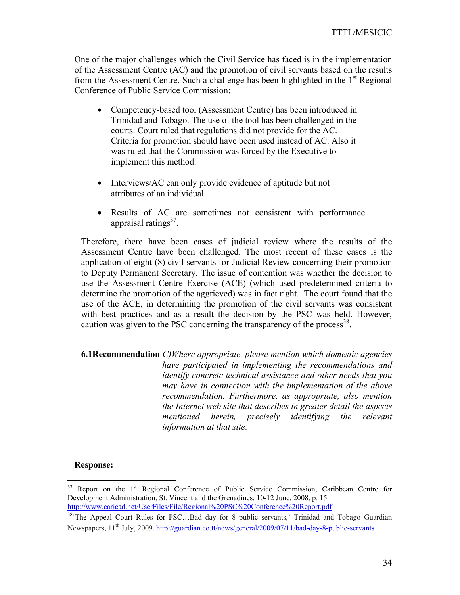One of the major challenges which the Civil Service has faced is in the implementation of the Assessment Centre (AC) and the promotion of civil servants based on the results from the Assessment Centre. Such a challenge has been highlighted in the  $1<sup>st</sup>$  Regional Conference of Public Service Commission:

- Competency-based tool (Assessment Centre) has been introduced in Trinidad and Tobago. The use of the tool has been challenged in the courts. Court ruled that regulations did not provide for the AC. Criteria for promotion should have been used instead of AC. Also it was ruled that the Commission was forced by the Executive to implement this method.
- Interviews/AC can only provide evidence of aptitude but not attributes of an individual.
- Results of AC are sometimes not consistent with performance appraisal ratings $37$ .

Therefore, there have been cases of judicial review where the results of the Assessment Centre have been challenged. The most recent of these cases is the application of eight (8) civil servants for Judicial Review concerning their promotion to Deputy Permanent Secretary. The issue of contention was whether the decision to use the Assessment Centre Exercise (ACE) (which used predetermined criteria to determine the promotion of the aggrieved) was in fact right. The court found that the use of the ACE, in determining the promotion of the civil servants was consistent with best practices and as a result the decision by the PSC was held. However, caution was given to the PSC concerning the transparency of the process  $288$ .

**6.1Recommendation** *C)Where appropriate, please mention which domestic agencies have participated in implementing the recommendations and identify concrete technical assistance and other needs that you may have in connection with the implementation of the above recommendation. Furthermore, as appropriate, also mention the Internet web site that describes in greater detail the aspects mentioned herein, precisely identifying the relevant information at that site:* 

### **Response:**

<sup>37</sup> Report on the 1<sup>st</sup> Regional Conference of Public Service Commission, Caribbean Centre for Development Administration, St. Vincent and the Grenadines, 10-12 June, 2008, p. 15

http://www.caricad.net/UserFiles/File/Regional%20PSC%20Conference%20Report.pdf<br><sup>38</sup>'The Appeal Court Rules for PSC...Bad day for 8 public servants,' Trinidad and Tobago Guardian Newspapers, 11<sup>th</sup> July, 2009. http://guardian.co.tt/news/general/2009/07/11/bad-day-8-public-servants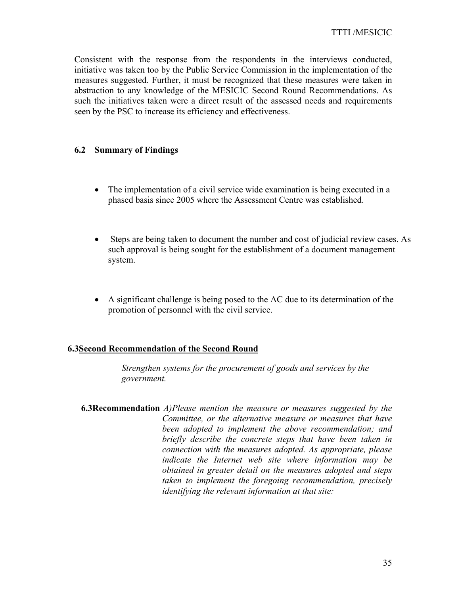Consistent with the response from the respondents in the interviews conducted, initiative was taken too by the Public Service Commission in the implementation of the measures suggested. Further, it must be recognized that these measures were taken in abstraction to any knowledge of the MESICIC Second Round Recommendations. As such the initiatives taken were a direct result of the assessed needs and requirements seen by the PSC to increase its efficiency and effectiveness.

## **6.2 Summary of Findings**

- The implementation of a civil service wide examination is being executed in a phased basis since 2005 where the Assessment Centre was established.
- Steps are being taken to document the number and cost of judicial review cases. As such approval is being sought for the establishment of a document management system.
- A significant challenge is being posed to the AC due to its determination of the promotion of personnel with the civil service.

### **6.3Second Recommendation of the Second Round**

*Strengthen systems for the procurement of goods and services by the government.* 

**6.3Recommendation** *A)Please mention the measure or measures suggested by the Committee, or the alternative measure or measures that have been adopted to implement the above recommendation; and briefly describe the concrete steps that have been taken in connection with the measures adopted. As appropriate, please indicate the Internet web site where information may be obtained in greater detail on the measures adopted and steps taken to implement the foregoing recommendation, precisely identifying the relevant information at that site:*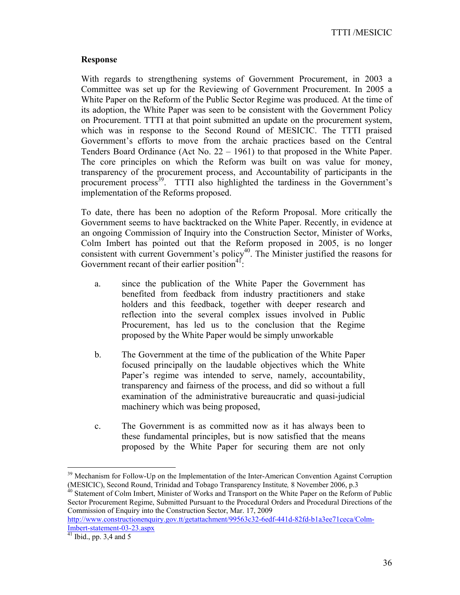TTTI /MESICIC

### **Response**

With regards to strengthening systems of Government Procurement, in 2003 a Committee was set up for the Reviewing of Government Procurement. In 2005 a White Paper on the Reform of the Public Sector Regime was produced. At the time of its adoption, the White Paper was seen to be consistent with the Government Policy on Procurement. TTTI at that point submitted an update on the procurement system, which was in response to the Second Round of MESICIC. The TTTI praised Government's efforts to move from the archaic practices based on the Central Tenders Board Ordinance (Act No. 22 – 1961) to that proposed in the White Paper. The core principles on which the Reform was built on was value for money, transparency of the procurement process, and Accountability of participants in the procurement process<sup>39</sup>. TTTI also highlighted the tardiness in the Government's implementation of the Reforms proposed.

To date, there has been no adoption of the Reform Proposal. More critically the Government seems to have backtracked on the White Paper. Recently, in evidence at an ongoing Commission of Inquiry into the Construction Sector, Minister of Works, Colm Imbert has pointed out that the Reform proposed in 2005, is no longer consistent with current Government's policy<sup>40</sup>. The Minister justified the reasons for Government recant of their earlier position $41$ :

- a. since the publication of the White Paper the Government has benefited from feedback from industry practitioners and stake holders and this feedback, together with deeper research and reflection into the several complex issues involved in Public Procurement, has led us to the conclusion that the Regime proposed by the White Paper would be simply unworkable
- b. The Government at the time of the publication of the White Paper focused principally on the laudable objectives which the White Paper's regime was intended to serve, namely, accountability, transparency and fairness of the process, and did so without a full examination of the administrative bureaucratic and quasi-judicial machinery which was being proposed,
- c. The Government is as committed now as it has always been to these fundamental principles, but is now satisfied that the means proposed by the White Paper for securing them are not only

<sup>40</sup> Statement of Colm Imbert, Minister of Works and Transport on the White Paper on the Reform of Public Sector Procurement Regime, Submitted Pursuant to the Procedural Orders and Procedural Directions of the Commission of Enquiry into the Construction Sector, Mar. 17, 2009

 $39$  Mechanism for Follow-Up on the Implementation of the Inter-American Convention Against Corruption (MESICIC), Second Round, Trinidad and Tobago Transparency Institute, 8 November 2006, p.3

http://www.constructionenquiry.gov.tt/getattachment/99563c32-6edf-441d-82fd-b1a3ee71ceca/Colm- $Imbert-statement-03-23.aspx  
<sup>41</sup> Ibid., pp. 3,4 and 5$ </u>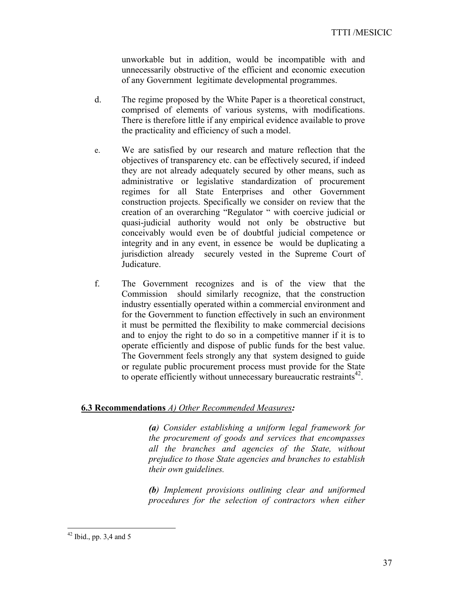unworkable but in addition, would be incompatible with and unnecessarily obstructive of the efficient and economic execution of any Government legitimate developmental programmes.

- d. The regime proposed by the White Paper is a theoretical construct, comprised of elements of various systems, with modifications. There is therefore little if any empirical evidence available to prove the practicality and efficiency of such a model.
- e. We are satisfied by our research and mature reflection that the objectives of transparency etc. can be effectively secured, if indeed they are not already adequately secured by other means, such as administrative or legislative standardization of procurement regimes for all State Enterprises and other Government construction projects. Specifically we consider on review that the creation of an overarching "Regulator " with coercive judicial or quasi-judicial authority would not only be obstructive but conceivably would even be of doubtful judicial competence or integrity and in any event, in essence be would be duplicating a jurisdiction already securely vested in the Supreme Court of Judicature.
- f. The Government recognizes and is of the view that the Commission should similarly recognize, that the construction industry essentially operated within a commercial environment and for the Government to function effectively in such an environment it must be permitted the flexibility to make commercial decisions and to enjoy the right to do so in a competitive manner if it is to operate efficiently and dispose of public funds for the best value. The Government feels strongly any that system designed to guide or regulate public procurement process must provide for the State to operate efficiently without unnecessary bureaucratic restraints<sup>42</sup>.

#### **6.3 Recommendations** *A) Other Recommended Measures:*

*(a) Consider establishing a uniform legal framework for the procurement of goods and services that encompasses all the branches and agencies of the State, without prejudice to those State agencies and branches to establish their own guidelines.* 

*(b) Implement provisions outlining clear and uniformed procedures for the selection of contractors when either* 

 $42$  Ibid., pp. 3,4 and 5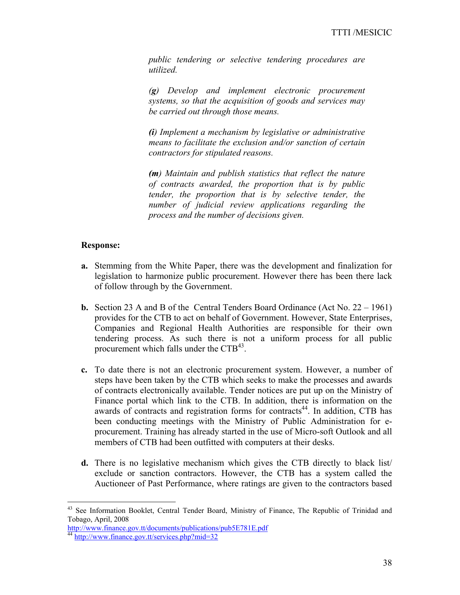*public tendering or selective tendering procedures are utilized.* 

*(g) Develop and implement electronic procurement systems, so that the acquisition of goods and services may be carried out through those means.* 

*(i) Implement a mechanism by legislative or administrative means to facilitate the exclusion and/or sanction of certain contractors for stipulated reasons.* 

*(m) Maintain and publish statistics that reflect the nature of contracts awarded, the proportion that is by public tender, the proportion that is by selective tender, the number of judicial review applications regarding the process and the number of decisions given.* 

### **Response:**

- **a.** Stemming from the White Paper, there was the development and finalization for legislation to harmonize public procurement. However there has been there lack of follow through by the Government.
- **b.** Section 23 A and B of theCentral Tenders Board Ordinance (Act No. 22 1961) provides for the CTB to act on behalf of Government. However, State Enterprises, Companies and Regional Health Authorities are responsible for their own tendering process. As such there is not a uniform process for all public procurement which falls under the  $CTB<sup>43</sup>$ .
- **c.** To date there is not an electronic procurement system. However, a number of steps have been taken by the CTB which seeks to make the processes and awards of contracts electronically available. Tender notices are put up on the Ministry of Finance portal which link to the CTB. In addition, there is information on the awards of contracts and registration forms for contracts<sup>44</sup>. In addition, CTB has been conducting meetings with the Ministry of Public Administration for eprocurement. Training has already started in the use of Micro-soft Outlook and all members of CTB had been outfitted with computers at their desks.
- **d.** There is no legislative mechanism which gives the CTB directly to black list/ exclude or sanction contractors. However, the CTB has a system called the Auctioneer of Past Performance, where ratings are given to the contractors based

<u>.</u>

<sup>&</sup>lt;sup>43</sup> See Information Booklet, Central Tender Board, Ministry of Finance, The Republic of Trinidad and Tobago, April, 2008

http://www.finance.gov.tt/documents/publications/pub5E781E.pdf 44 http://www.finance.gov.tt/services.php?mid=32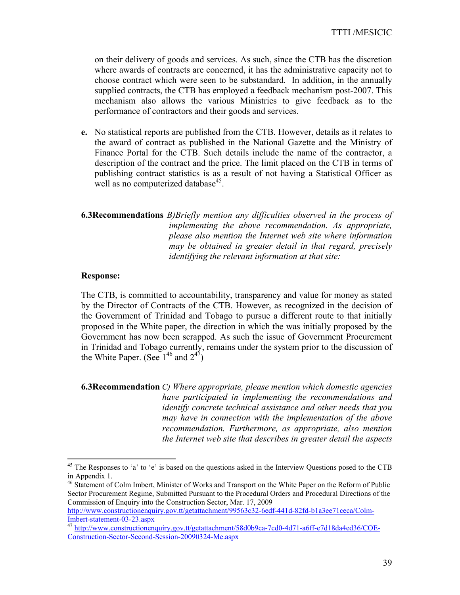on their delivery of goods and services. As such, since the CTB has the discretion where awards of contracts are concerned, it has the administrative capacity not to choose contract which were seen to be substandard. In addition, in the annually supplied contracts, the CTB has employed a feedback mechanism post-2007. This mechanism also allows the various Ministries to give feedback as to the performance of contractors and their goods and services.

- **e.** No statistical reports are published from the CTB. However, details as it relates to the award of contract as published in the National Gazette and the Ministry of Finance Portal for the CTB. Such details include the name of the contractor, a description of the contract and the price. The limit placed on the CTB in terms of publishing contract statistics is as a result of not having a Statistical Officer as well as no computerized database $45$ .
- **6.3Recommendations** *B)Briefly mention any difficulties observed in the process of implementing the above recommendation. As appropriate, please also mention the Internet web site where information may be obtained in greater detail in that regard, precisely identifying the relevant information at that site:*

#### **Response:**

 $\overline{a}$ 

The CTB, is committed to accountability, transparency and value for money as stated by the Director of Contracts of the CTB. However, as recognized in the decision of the Government of Trinidad and Tobago to pursue a different route to that initially proposed in the White paper, the direction in which the was initially proposed by the Government has now been scrapped. As such the issue of Government Procurement in Trinidad and Tobago currently, remains under the system prior to the discussion of the White Paper. (See  $1^{46}$  and  $2^{47}$ )

**6.3Recommendation** *C) Where appropriate, please mention which domestic agencies have participated in implementing the recommendations and identify concrete technical assistance and other needs that you may have in connection with the implementation of the above recommendation. Furthermore, as appropriate, also mention the Internet web site that describes in greater detail the aspects* 

<sup>&</sup>lt;sup>45</sup> The Responses to 'a' to 'e' is based on the questions asked in the Interview Questions posed to the CTB in Appendix 1.

<sup>&</sup>lt;sup>46</sup> Statement of Colm Imbert, Minister of Works and Transport on the White Paper on the Reform of Public Sector Procurement Regime, Submitted Pursuant to the Procedural Orders and Procedural Directions of the Commission of Enquiry into the Construction Sector, Mar. 17, 2009

http://www.constructionenquiry.gov.tt/getattachment/99563c32-6edf-441d-82fd-b1a3ee71ceca/Colm-<br>Imbert-statement-03-23.aspx

<sup>&</sup>lt;sup>47</sup> http://www.constructionenquiry.gov.tt/getattachment/58d0b9ca-7cd0-4d71-a6ff-e7d18da4ed36/COE-Construction-Sector-Second-Session-20090324-Me.aspx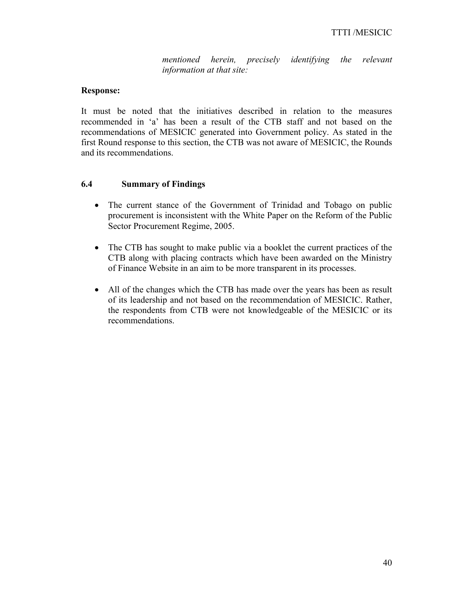*mentioned herein, precisely identifying the relevant information at that site:* 

## **Response:**

It must be noted that the initiatives described in relation to the measures recommended in 'a' has been a result of the CTB staff and not based on the recommendations of MESICIC generated into Government policy. As stated in the first Round response to this section, the CTB was not aware of MESICIC, the Rounds and its recommendations.

## **6.4 Summary of Findings**

- The current stance of the Government of Trinidad and Tobago on public procurement is inconsistent with the White Paper on the Reform of the Public Sector Procurement Regime, 2005.
- The CTB has sought to make public via a booklet the current practices of the CTB along with placing contracts which have been awarded on the Ministry of Finance Website in an aim to be more transparent in its processes.
- All of the changes which the CTB has made over the years has been as result of its leadership and not based on the recommendation of MESICIC. Rather, the respondents from CTB were not knowledgeable of the MESICIC or its recommendations.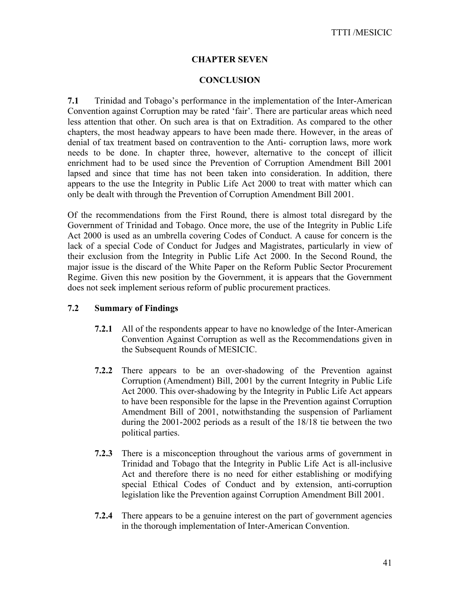## **CHAPTER SEVEN**

## **CONCLUSION**

**7.1** Trinidad and Tobago's performance in the implementation of the Inter-American Convention against Corruption may be rated 'fair'. There are particular areas which need less attention that other. On such area is that on Extradition. As compared to the other chapters, the most headway appears to have been made there. However, in the areas of denial of tax treatment based on contravention to the Anti- corruption laws, more work needs to be done. In chapter three, however, alternative to the concept of illicit enrichment had to be used since the Prevention of Corruption Amendment Bill 2001 lapsed and since that time has not been taken into consideration. In addition, there appears to the use the Integrity in Public Life Act 2000 to treat with matter which can only be dealt with through the Prevention of Corruption Amendment Bill 2001.

Of the recommendations from the First Round, there is almost total disregard by the Government of Trinidad and Tobago. Once more, the use of the Integrity in Public Life Act 2000 is used as an umbrella covering Codes of Conduct. A cause for concern is the lack of a special Code of Conduct for Judges and Magistrates, particularly in view of their exclusion from the Integrity in Public Life Act 2000. In the Second Round, the major issue is the discard of the White Paper on the Reform Public Sector Procurement Regime. Given this new position by the Government, it is appears that the Government does not seek implement serious reform of public procurement practices.

### **7.2 Summary of Findings**

- **7.2.1** All of the respondents appear to have no knowledge of the Inter-American Convention Against Corruption as well as the Recommendations given in the Subsequent Rounds of MESICIC.
- **7.2.2** There appears to be an over-shadowing of the Prevention against Corruption (Amendment) Bill, 2001 by the current Integrity in Public Life Act 2000. This over-shadowing by the Integrity in Public Life Act appears to have been responsible for the lapse in the Prevention against Corruption Amendment Bill of 2001, notwithstanding the suspension of Parliament during the 2001-2002 periods as a result of the 18/18 tie between the two political parties.
- **7.2.3** There is a misconception throughout the various arms of government in Trinidad and Tobago that the Integrity in Public Life Act is all-inclusive Act and therefore there is no need for either establishing or modifying special Ethical Codes of Conduct and by extension, anti-corruption legislation like the Prevention against Corruption Amendment Bill 2001.
- **7.2.4** There appears to be a genuine interest on the part of government agencies in the thorough implementation of Inter-American Convention.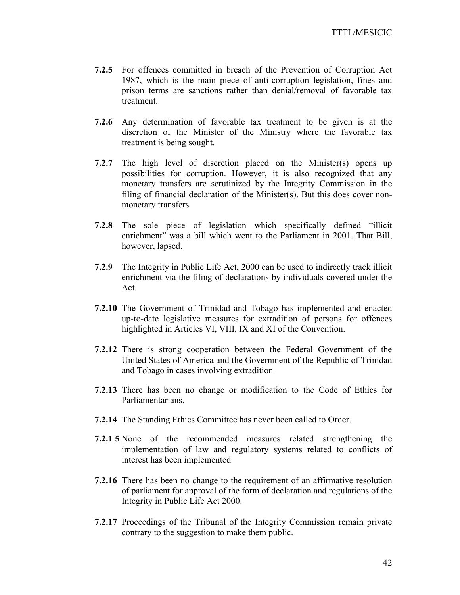- **7.2.5** For offences committed in breach of the Prevention of Corruption Act 1987, which is the main piece of anti-corruption legislation, fines and prison terms are sanctions rather than denial/removal of favorable tax treatment.
- **7.2.6** Any determination of favorable tax treatment to be given is at the discretion of the Minister of the Ministry where the favorable tax treatment is being sought.
- **7.2.7** The high level of discretion placed on the Minister(s) opens up possibilities for corruption. However, it is also recognized that any monetary transfers are scrutinized by the Integrity Commission in the filing of financial declaration of the Minister(s). But this does cover nonmonetary transfers
- **7.2.8** The sole piece of legislation which specifically defined "illicit enrichment" was a bill which went to the Parliament in 2001. That Bill, however, lapsed.
- **7.2.9** The Integrity in Public Life Act, 2000 can be used to indirectly track illicit enrichment via the filing of declarations by individuals covered under the Act.
- **7.2.10** The Government of Trinidad and Tobago has implemented and enacted up-to-date legislative measures for extradition of persons for offences highlighted in Articles VI, VIII, IX and XI of the Convention.
- **7.2.12** There is strong cooperation between the Federal Government of the United States of America and the Government of the Republic of Trinidad and Tobago in cases involving extradition
- **7.2.13** There has been no change or modification to the Code of Ethics for Parliamentarians.
- **7.2.14** The Standing Ethics Committee has never been called to Order.
- **7.2.1 5** None of the recommended measures related strengthening the implementation of law and regulatory systems related to conflicts of interest has been implemented
- **7.2.16** There has been no change to the requirement of an affirmative resolution of parliament for approval of the form of declaration and regulations of the Integrity in Public Life Act 2000.
- **7.2.17** Proceedings of the Tribunal of the Integrity Commission remain private contrary to the suggestion to make them public.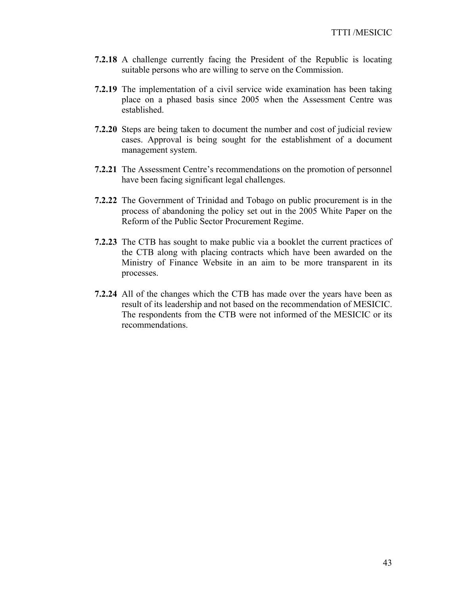- **7.2.18** A challenge currently facing the President of the Republic is locating suitable persons who are willing to serve on the Commission.
- **7.2.19** The implementation of a civil service wide examination has been taking place on a phased basis since 2005 when the Assessment Centre was established.
- **7.2.20** Steps are being taken to document the number and cost of judicial review cases. Approval is being sought for the establishment of a document management system.
- **7.2.21** The Assessment Centre's recommendations on the promotion of personnel have been facing significant legal challenges.
- **7.2.22** The Government of Trinidad and Tobago on public procurement is in the process of abandoning the policy set out in the 2005 White Paper on the Reform of the Public Sector Procurement Regime.
- **7.2.23** The CTB has sought to make public via a booklet the current practices of the CTB along with placing contracts which have been awarded on the Ministry of Finance Website in an aim to be more transparent in its processes.
- **7.2.24** All of the changes which the CTB has made over the years have been as result of its leadership and not based on the recommendation of MESICIC. The respondents from the CTB were not informed of the MESICIC or its recommendations.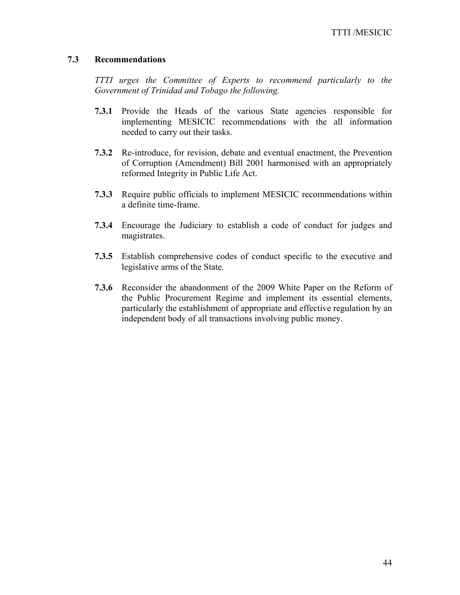## **7.3 Recommendations**

*TTTI urges the Committee of Experts to recommend particularly to the Government of Trinidad and Tobago the following.* 

- **7.3.1** Provide the Heads of the various State agencies responsible for implementing MESICIC recommendations with the all information needed to carry out their tasks.
- **7.3.2** Re-introduce, for revision, debate and eventual enactment, the Prevention of Corruption (Amendment) Bill 2001 harmonised with an appropriately reformed Integrity in Public Life Act.
- **7.3.3** Require public officials to implement MESICIC recommendations within a definite time-frame.
- **7.3.4** Encourage the Judiciary to establish a code of conduct for judges and magistrates.
- **7.3.5** Establish comprehensive codes of conduct specific to the executive and legislative arms of the State.
- **7.3.6** Reconsider the abandonment of the 2009 White Paper on the Reform of the Public Procurement Regime and implement its essential elements, particularly the establishment of appropriate and effective regulation by an independent body of all transactions involving public money.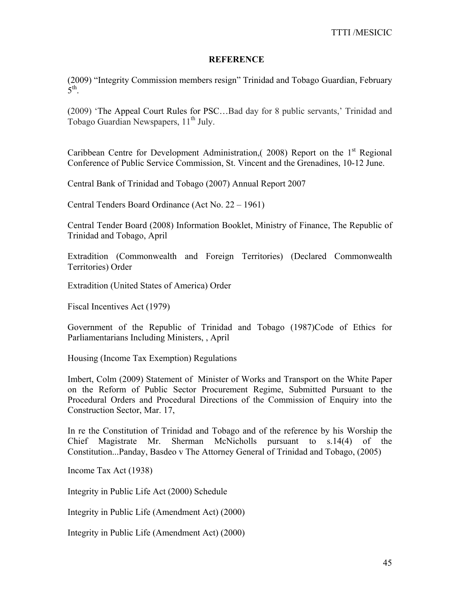### **REFERENCE**

(2009) "Integrity Commission members resign" Trinidad and Tobago Guardian, February  $5^{\text{th}}$ 

(2009) 'The Appeal Court Rules for PSC…Bad day for 8 public servants,' Trinidad and Tobago Guardian Newspapers, 11<sup>th</sup> July.

Caribbean Centre for Development Administration,  $(2008)$  Report on the 1<sup>st</sup> Regional Conference of Public Service Commission, St. Vincent and the Grenadines, 10-12 June.

Central Bank of Trinidad and Tobago (2007) Annual Report 2007

Central Tenders Board Ordinance (Act No. 22 – 1961)

Central Tender Board (2008) Information Booklet, Ministry of Finance, The Republic of Trinidad and Tobago, April

Extradition (Commonwealth and Foreign Territories) (Declared Commonwealth Territories) Order

Extradition (United States of America) Order

Fiscal Incentives Act (1979)

Government of the Republic of Trinidad and Tobago (1987)Code of Ethics for Parliamentarians Including Ministers, , April

Housing (Income Tax Exemption) Regulations

Imbert, Colm (2009) Statement of Minister of Works and Transport on the White Paper on the Reform of Public Sector Procurement Regime, Submitted Pursuant to the Procedural Orders and Procedural Directions of the Commission of Enquiry into the Construction Sector, Mar. 17,

In re the Constitution of Trinidad and Tobago and of the reference by his Worship the Chief Magistrate Mr. Sherman McNicholls pursuant to s.14(4) of the Constitution...Panday, Basdeo v The Attorney General of Trinidad and Tobago, (2005)

Income Tax Act (1938)

Integrity in Public Life Act (2000) Schedule

Integrity in Public Life (Amendment Act) (2000)

Integrity in Public Life (Amendment Act) (2000)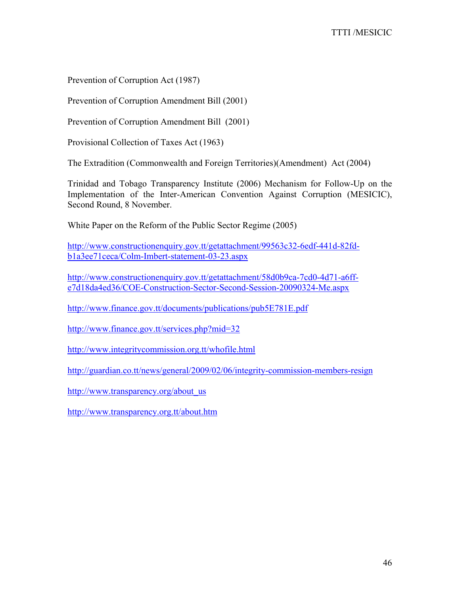Prevention of Corruption Act (1987)

Prevention of Corruption Amendment Bill (2001)

Prevention of Corruption Amendment Bill (2001)

Provisional Collection of Taxes Act (1963)

The Extradition (Commonwealth and Foreign Territories)(Amendment) Act (2004)

Trinidad and Tobago Transparency Institute (2006) Mechanism for Follow-Up on the Implementation of the Inter-American Convention Against Corruption (MESICIC), Second Round, 8 November.

White Paper on the Reform of the Public Sector Regime (2005)

http://www.constructionenquiry.gov.tt/getattachment/99563c32-6edf-441d-82fdb1a3ee71ceca/Colm-Imbert-statement-03-23.aspx

http://www.constructionenquiry.gov.tt/getattachment/58d0b9ca-7cd0-4d71-a6ffe7d18da4ed36/COE-Construction-Sector-Second-Session-20090324-Me.aspx

http://www.finance.gov.tt/documents/publications/pub5E781E.pdf

http://www.finance.gov.tt/services.php?mid=32

http://www.integritycommission.org.tt/whofile.html

http://guardian.co.tt/news/general/2009/02/06/integrity-commission-members-resign

http://www.transparency.org/about\_us

http://www.transparency.org.tt/about.htm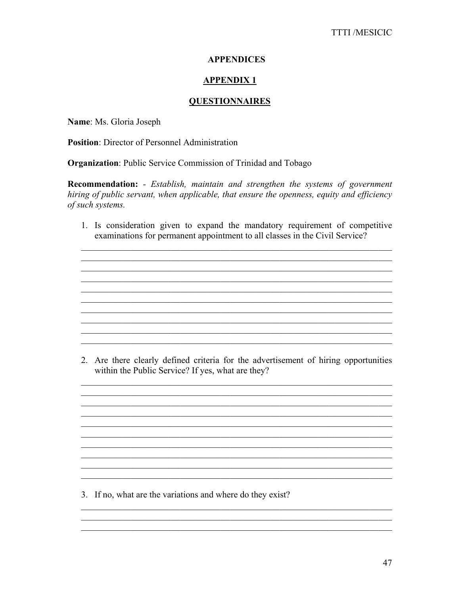## **APPENDICES**

## **APPENDIX1**

## **QUESTIONNAIRES**

Name: Ms. Gloria Joseph

**Position:** Director of Personnel Administration

**Organization:** Public Service Commission of Trinidad and Tobago

**Recommendation:** - Establish, maintain and strengthen the systems of government hiring of public servant, when applicable, that ensure the openness, equity and efficiency of such systems.

1. Is consideration given to expand the mandatory requirement of competitive examinations for permanent appointment to all classes in the Civil Service?

2. Are there clearly defined criteria for the advertisement of hiring opportunities within the Public Service? If yes, what are they?

<u> 1989 - Johann Stoff, deutscher Stoff, der Stoff, der Stoff, der Stoff, der Stoff, der Stoff, der Stoff, der S</u>

<u> 1980 - Johann Barbara, martxa alemaniar arg</u>

3. If no, what are the variations and where do they exist?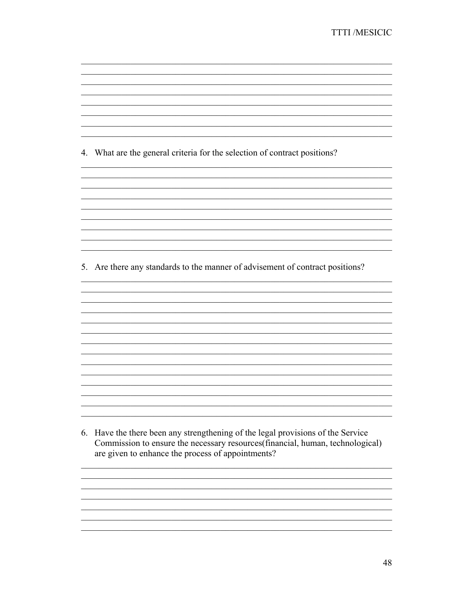4. What are the general criteria for the selection of contract positions?

<u> 1989 - Jan James James Barnett, amerikan basar dan berasal dari pertama dan berasal dari pertama dan berasal</u>

<u> 1989 - Johann Stoff, deutscher Stoffen und der Stoffen und der Stoffen und der Stoffen und der Stoffen und der</u>

5. Are there any standards to the manner of advisement of contract positions?

6. Have the there been any strengthening of the legal provisions of the Service Commission to ensure the necessary resources (financial, human, technological) are given to enhance the process of appointments?

<u> 1989 - Johann John Stoff, deutscher Stoffen und der Stoffen und der Stoffen und der Stoffen und der Stoffen</u>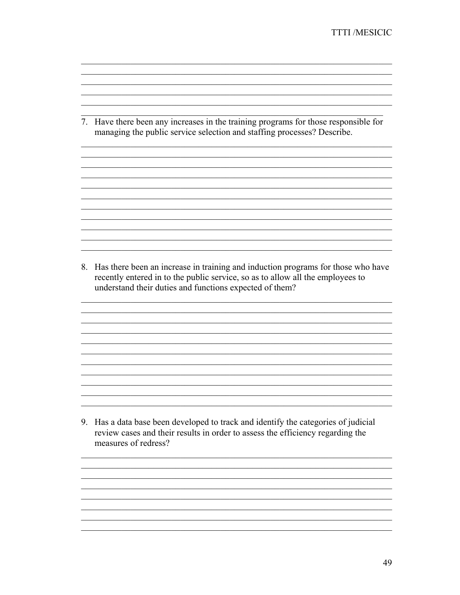7. Have there been any increases in the training programs for those responsible for managing the public service selection and staffing processes? Describe.

<u> 1989 - Johann Stoff, amerikansk politiker (d. 1989)</u>

8. Has there been an increase in training and induction programs for those who have recently entered in to the public service, so as to allow all the employees to understand their duties and functions expected of them?

<u> 1989 - Johann John Barn, mars and deutscher Stadt and der Stadt and deutscher Stadt and der Stadt and deutsch</u>

<u> 1989 - Johann Stoff, amerikansk politiker (d. 1989)</u>

<u> 1989 - Johann Stoff, deutscher Stoffen und der Stoffen und der Stoffen und der Stoffen und der Stoffen und der</u>

<u> 1989 - Johann John Stoff, deutscher Stoffen und der Stoffen und der Stoffen und der Stoffen und der Stoffen</u>

<u> 1989 - Johann John Barn, mars and deutscher Stadt and der Stadt and deutscher Stadt and der Stadt and deutsch</u> 

<u> 1989 - Johann Stoff, deutscher Stoff aus der Stoff aus der Stoff aus der Stoff aus der Stoff aus der Stoff aus</u>

9. Has a data base been developed to track and identify the categories of judicial review cases and their results in order to assess the efficiency regarding the measures of redress?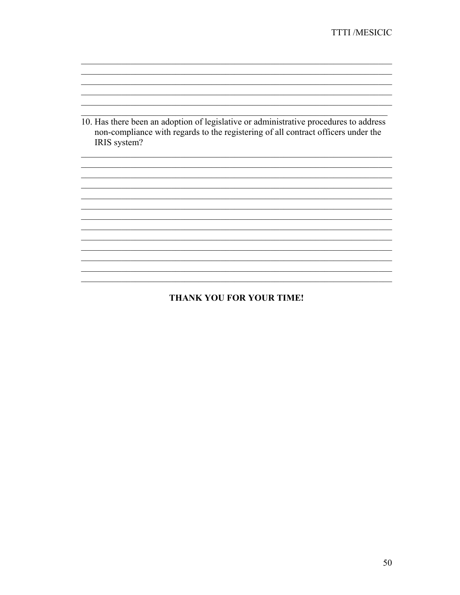10. Has there been an adoption of legislative or administrative procedures to address non-compliance with regards to the registering of all contract officers under the IRIS system?

<u> 1989 - Johann Stoff, amerikansk politiker (d. 1989)</u>

<u> 1989 - Johann Stoff, amerikansk politiker (d. 1989)</u>

<u> 1989 - Johann Stoff, amerikansk politiker (d. 1989)</u>

<u> 1989 - Johann John Stein, mars an deutscher Stein († 1989)</u>

<u> 1989 - Johann John Stein, mars an deutscher Stein und der Stein und der Stein und der Stein und der Stein und</u>

# **THANK YOU FOR YOUR TIME!**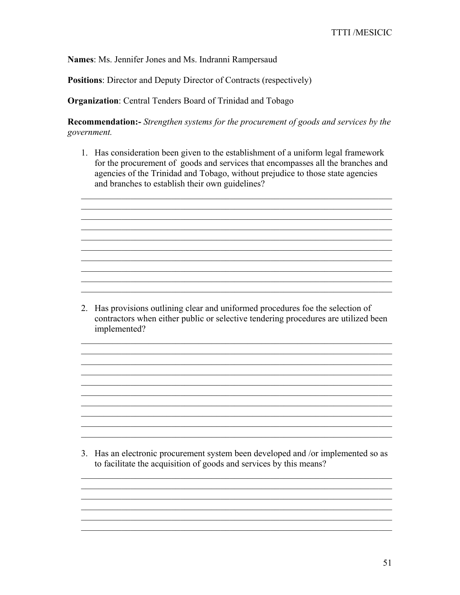Names: Ms. Jennifer Jones and Ms. Indranni Rampersaud

**Positions:** Director and Deputy Director of Contracts (respectively)

**Organization:** Central Tenders Board of Trinidad and Tobago

**Recommendation:-** Strengthen systems for the procurement of goods and services by the government.

1. Has consideration been given to the establishment of a uniform legal framework for the procurement of goods and services that encompasses all the branches and agencies of the Trinidad and Tobago, without prejudice to those state agencies and branches to establish their own guidelines?

<u> 1989 - Johann Stoff, deutscher Stoff, der Stoff, der Stoff, der Stoff, der Stoff, der Stoff, der Stoff, der S</u> <u> 1989 - Johann John Stein, mars an deutscher Stein († 1989)</u>

2. Has provisions outlining clear and uniformed procedures foe the selection of contractors when either public or selective tendering procedures are utilized been implemented?

<u> 1989 - Johann Stoff, amerikansk politiker (d. 1989)</u>

<u> 1989 - Jan James James James James James James James James James James James James James James James James J</u>

<u> 1989 - Johann John Stein, mars an deus Amerikaansk kommunister (\* 1958)</u>

3. Has an electronic procurement system been developed and /or implemented so as to facilitate the acquisition of goods and services by this means?

<u> 1989 - Johann Stoff, amerikansk politiker (d. 1989)</u>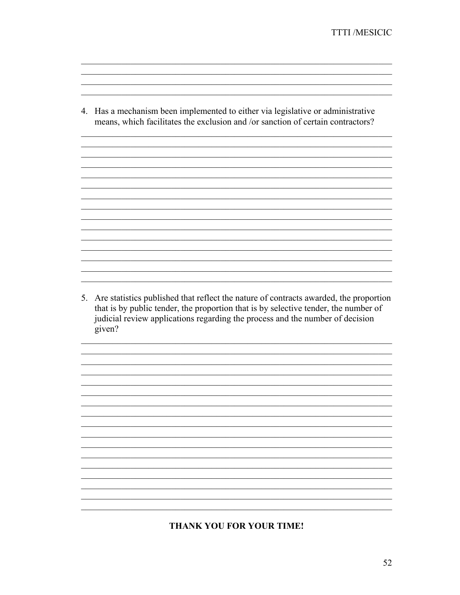4. Has a mechanism been implemented to either via legislative or administrative means, which facilitates the exclusion and /or sanction of certain contractors?

<u> 1989 - Johann Stoff, deutscher Stoff, der Stoff, der Stoff, der Stoff, der Stoff, der Stoff, der Stoff, der S</u>

5. Are statistics published that reflect the nature of contracts awarded, the proportion that is by public tender, the proportion that is by selective tender, the number of judicial review applications regarding the process and the number of decision given?

<u> 1989 - Johann Stoff, amerikansk politiker (d. 1989)</u>

<u> 1989 - Johann Stoff, amerikansk politiker (d. 1989)</u>

<u> 1989 - Johann John Stone, mars and deutscher Stone († 1951)</u>

<u> 1989 - Johann Stoff, amerikansk politik (d. 1989)</u>

## **THANK YOU FOR YOUR TIME!**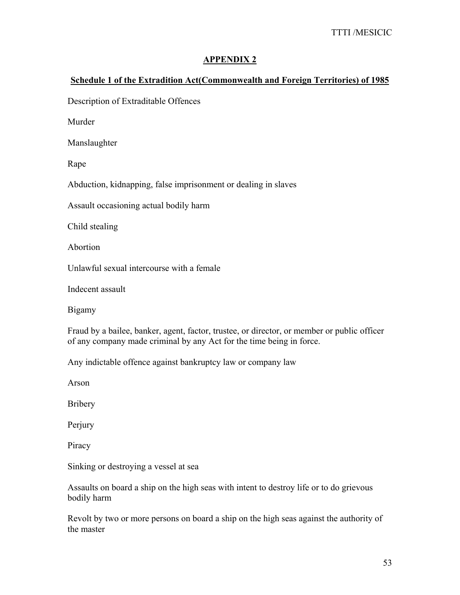## **APPENDIX 2**

## **Schedule 1 of the Extradition Act(Commonwealth and Foreign Territories) of 1985**

Description of Extraditable Offences

Murder

Manslaughter

Rape

Abduction, kidnapping, false imprisonment or dealing in slaves

Assault occasioning actual bodily harm

Child stealing

Abortion

Unlawful sexual intercourse with a female

Indecent assault

Bigamy

Fraud by a bailee, banker, agent, factor, trustee, or director, or member or public officer of any company made criminal by any Act for the time being in force.

Any indictable offence against bankruptcy law or company law

Arson

Bribery

Perjury

Piracy

Sinking or destroying a vessel at sea

Assaults on board a ship on the high seas with intent to destroy life or to do grievous bodily harm

Revolt by two or more persons on board a ship on the high seas against the authority of the master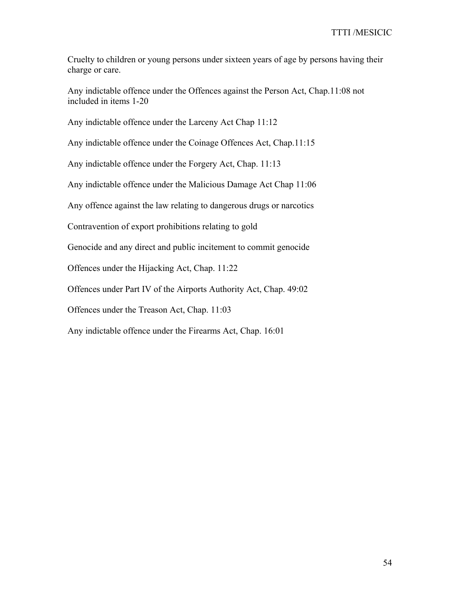Cruelty to children or young persons under sixteen years of age by persons having their charge or care.

Any indictable offence under the Offences against the Person Act, Chap.11:08 not included in items 1-20

Any indictable offence under the Larceny Act Chap 11:12

Any indictable offence under the Coinage Offences Act, Chap.11:15

Any indictable offence under the Forgery Act, Chap. 11:13

Any indictable offence under the Malicious Damage Act Chap 11:06

Any offence against the law relating to dangerous drugs or narcotics

Contravention of export prohibitions relating to gold

Genocide and any direct and public incitement to commit genocide

Offences under the Hijacking Act, Chap. 11:22

Offences under Part IV of the Airports Authority Act, Chap. 49:02

Offences under the Treason Act, Chap. 11:03

Any indictable offence under the Firearms Act, Chap. 16:01